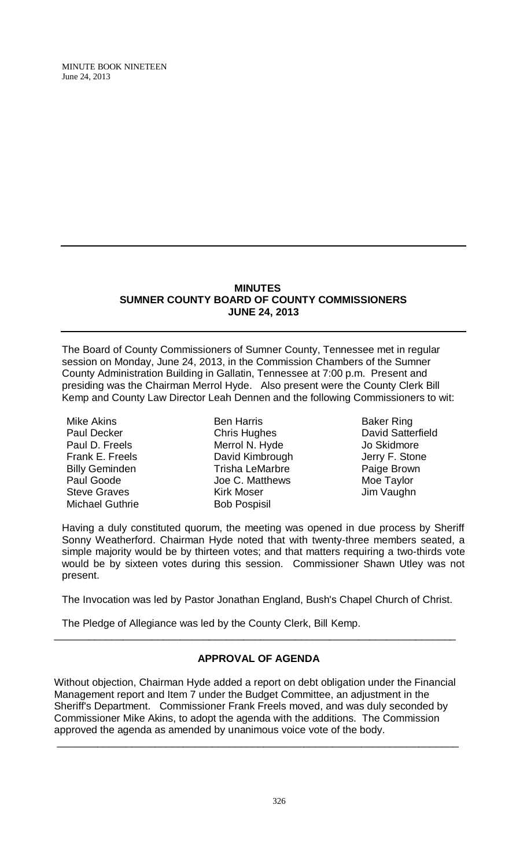### **MINUTES SUMNER COUNTY BOARD OF COUNTY COMMISSIONERS JUNE 24, 2013**

The Board of County Commissioners of Sumner County, Tennessee met in regular session on Monday, June 24, 2013, in the Commission Chambers of the Sumner County Administration Building in Gallatin, Tennessee at 7:00 p.m. Present and presiding was the Chairman Merrol Hyde. Also present were the County Clerk Bill Kemp and County Law Director Leah Dennen and the following Commissioners to wit:

Mike Akins Paul Decker Paul D. Freels Frank E. Freels Billy Geminden Paul Goode Steve Graves Michael Guthrie

Ben Harris Chris Hughes Merrol N. Hyde David Kimbrough Trisha LeMarbre Joe C. Matthews Kirk Moser Bob Pospisil

Baker Ring David Satterfield Jo Skidmore Jerry F. Stone Paige Brown Moe Taylor Jim Vaughn

Having a duly constituted quorum, the meeting was opened in due process by Sheriff Sonny Weatherford. Chairman Hyde noted that with twenty-three members seated, a simple majority would be by thirteen votes; and that matters requiring a two-thirds vote would be by sixteen votes during this session. Commissioner Shawn Utley was not present.

The Invocation was led by Pastor Jonathan England, Bush's Chapel Church of Christ.

The Pledge of Allegiance was led by the County Clerk, Bill Kemp.

# **APPROVAL OF AGENDA**

\_\_\_\_\_\_\_\_\_\_\_\_\_\_\_\_\_\_\_\_\_\_\_\_\_\_\_\_\_\_\_\_\_\_\_\_\_\_\_\_\_\_\_\_\_\_\_\_\_\_\_\_\_\_\_\_\_\_\_\_\_\_\_\_\_\_\_\_\_\_

Without objection, Chairman Hyde added a report on debt obligation under the Financial Management report and Item 7 under the Budget Committee, an adjustment in the Sheriff's Department. Commissioner Frank Freels moved, and was duly seconded by Commissioner Mike Akins, to adopt the agenda with the additions. The Commission approved the agenda as amended by unanimous voice vote of the body.

\_\_\_\_\_\_\_\_\_\_\_\_\_\_\_\_\_\_\_\_\_\_\_\_\_\_\_\_\_\_\_\_\_\_\_\_\_\_\_\_\_\_\_\_\_\_\_\_\_\_\_\_\_\_\_\_\_\_\_\_\_\_\_\_\_\_\_\_\_\_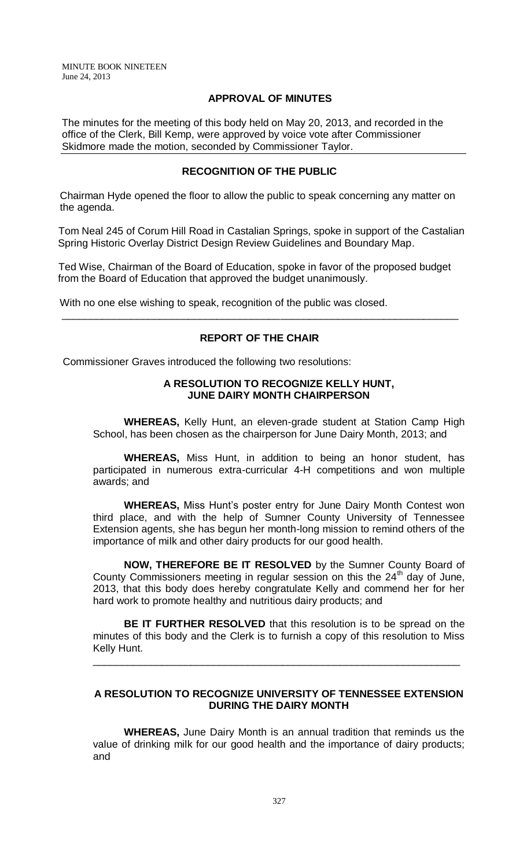## **APPROVAL OF MINUTES**

The minutes for the meeting of this body held on May 20, 2013, and recorded in the office of the Clerk, Bill Kemp, were approved by voice vote after Commissioner Skidmore made the motion, seconded by Commissioner Taylor.

## **RECOGNITION OF THE PUBLIC**

 Chairman Hyde opened the floor to allow the public to speak concerning any matter on the agenda.

Tom Neal 245 of Corum Hill Road in Castalian Springs, spoke in support of the Castalian Spring Historic Overlay District Design Review Guidelines and Boundary Map.

Ted Wise, Chairman of the Board of Education, spoke in favor of the proposed budget from the Board of Education that approved the budget unanimously.

With no one else wishing to speak, recognition of the public was closed.

#### **REPORT OF THE CHAIR**

\_\_\_\_\_\_\_\_\_\_\_\_\_\_\_\_\_\_\_\_\_\_\_\_\_\_\_\_\_\_\_\_\_\_\_\_\_\_\_\_\_\_\_\_\_\_\_\_\_\_\_\_\_\_\_\_\_\_\_\_\_\_\_\_\_\_\_\_\_

Commissioner Graves introduced the following two resolutions:

### **A RESOLUTION TO RECOGNIZE KELLY HUNT, JUNE DAIRY MONTH CHAIRPERSON**

**WHEREAS,** Kelly Hunt, an eleven-grade student at Station Camp High School, has been chosen as the chairperson for June Dairy Month, 2013; and

**WHEREAS,** Miss Hunt, in addition to being an honor student, has participated in numerous extra-curricular 4-H competitions and won multiple awards; and

**WHEREAS,** Miss Hunt's poster entry for June Dairy Month Contest won third place, and with the help of Sumner County University of Tennessee Extension agents, she has begun her month-long mission to remind others of the importance of milk and other dairy products for our good health.

**NOW, THEREFORE BE IT RESOLVED** by the Sumner County Board of County Commissioners meeting in regular session on this the  $24<sup>th</sup>$  day of June, 2013, that this body does hereby congratulate Kelly and commend her for her hard work to promote healthy and nutritious dairy products; and

**BE IT FURTHER RESOLVED** that this resolution is to be spread on the minutes of this body and the Clerk is to furnish a copy of this resolution to Miss Kelly Hunt.

\_\_\_\_\_\_\_\_\_\_\_\_\_\_\_\_\_\_\_\_\_\_\_\_\_\_\_\_\_\_\_\_\_\_\_\_\_\_\_\_\_\_\_\_\_\_\_\_\_\_\_\_\_\_\_\_\_\_\_\_\_\_\_\_

## **A RESOLUTION TO RECOGNIZE UNIVERSITY OF TENNESSEE EXTENSION DURING THE DAIRY MONTH**

**WHEREAS,** June Dairy Month is an annual tradition that reminds us the value of drinking milk for our good health and the importance of dairy products; and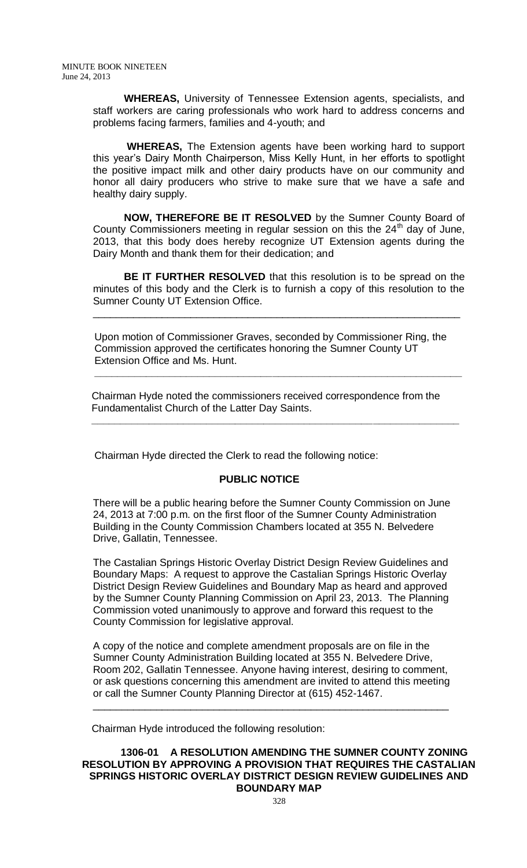**WHEREAS,** University of Tennessee Extension agents, specialists, and staff workers are caring professionals who work hard to address concerns and problems facing farmers, families and 4-youth; and

**WHEREAS,** The Extension agents have been working hard to support this year's Dairy Month Chairperson, Miss Kelly Hunt, in her efforts to spotlight the positive impact milk and other dairy products have on our community and honor all dairy producers who strive to make sure that we have a safe and healthy dairy supply.

**NOW, THEREFORE BE IT RESOLVED** by the Sumner County Board of County Commissioners meeting in regular session on this the  $24<sup>th</sup>$  day of June, 2013, that this body does hereby recognize UT Extension agents during the Dairy Month and thank them for their dedication; and

**BE IT FURTHER RESOLVED** that this resolution is to be spread on the minutes of this body and the Clerk is to furnish a copy of this resolution to the Sumner County UT Extension Office.

\_\_\_\_\_\_\_\_\_\_\_\_\_\_\_\_\_\_\_\_\_\_\_\_\_\_\_\_\_\_\_\_\_\_\_\_\_\_\_\_\_\_\_\_\_\_\_\_\_\_\_\_\_\_\_\_\_\_\_\_\_\_\_\_

Upon motion of Commissioner Graves, seconded by Commissioner Ring, the Commission approved the certificates honoring the Sumner County UT Extension Office and Ms. Hunt.

Chairman Hyde noted the commissioners received correspondence from the Fundamentalist Church of the Latter Day Saints.

 **\_\_\_\_\_\_\_\_\_\_\_\_\_\_\_\_\_\_\_\_\_\_\_\_\_\_\_\_\_\_\_\_\_\_\_\_\_\_\_\_\_\_\_\_\_\_\_\_\_\_\_\_\_\_\_\_\_\_\_\_\_\_\_\_**

 **\_\_\_\_\_\_\_\_\_\_\_\_\_\_\_\_\_\_\_\_\_\_\_\_\_\_\_\_\_\_\_\_\_\_\_\_\_\_\_\_\_\_\_\_\_\_\_\_\_\_\_\_\_\_\_\_\_\_\_\_\_\_\_\_**

Chairman Hyde directed the Clerk to read the following notice:

## **PUBLIC NOTICE**

There will be a public hearing before the Sumner County Commission on June 24, 2013 at 7:00 p.m. on the first floor of the Sumner County Administration Building in the County Commission Chambers located at 355 N. Belvedere Drive, Gallatin, Tennessee.

The Castalian Springs Historic Overlay District Design Review Guidelines and Boundary Maps: A request to approve the Castalian Springs Historic Overlay District Design Review Guidelines and Boundary Map as heard and approved by the Sumner County Planning Commission on April 23, 2013. The Planning Commission voted unanimously to approve and forward this request to the County Commission for legislative approval.

A copy of the notice and complete amendment proposals are on file in the Sumner County Administration Building located at 355 N. Belvedere Drive, Room 202, Gallatin Tennessee. Anyone having interest, desiring to comment, or ask questions concerning this amendment are invited to attend this meeting or call the Sumner County Planning Director at (615) 452-1467.

\_\_\_\_\_\_\_\_\_\_\_\_\_\_\_\_\_\_\_\_\_\_\_\_\_\_\_\_\_\_\_\_\_\_\_\_\_\_\_\_\_\_\_\_\_\_\_\_\_\_\_\_\_\_\_\_\_\_\_\_\_\_

Chairman Hyde introduced the following resolution:

**1306-01 A RESOLUTION AMENDING THE SUMNER COUNTY ZONING RESOLUTION BY APPROVING A PROVISION THAT REQUIRES THE CASTALIAN SPRINGS HISTORIC OVERLAY DISTRICT DESIGN REVIEW GUIDELINES AND BOUNDARY MAP**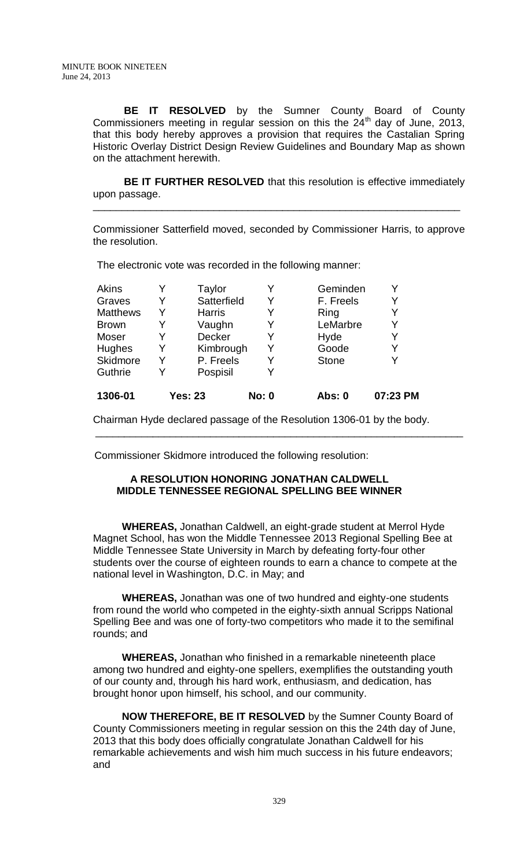**BE IT RESOLVED** by the Sumner County Board of County Commissioners meeting in regular session on this the  $24<sup>th</sup>$  day of June, 2013, that this body hereby approves a provision that requires the Castalian Spring Historic Overlay District Design Review Guidelines and Boundary Map as shown on the attachment herewith.

**BE IT FURTHER RESOLVED** that this resolution is effective immediately upon passage.

\_\_\_\_\_\_\_\_\_\_\_\_\_\_\_\_\_\_\_\_\_\_\_\_\_\_\_\_\_\_\_\_\_\_\_\_\_\_\_\_\_\_\_\_\_\_\_\_\_\_\_\_\_\_\_\_\_\_\_\_\_\_\_\_

Commissioner Satterfield moved, seconded by Commissioner Harris, to approve the resolution.

The electronic vote was recorded in the following manner:

| 1306-01         |   | <b>Yes: 23</b> | <b>No: 0</b> | Abs: 0       | 07:23 PM |
|-----------------|---|----------------|--------------|--------------|----------|
| Guthrie         | v | Pospisil       | Y            |              |          |
| Skidmore        |   | P. Freels      | Y            | <b>Stone</b> |          |
| <b>Hughes</b>   | Y | Kimbrough      | Y            | Goode        | Y        |
| Moser           |   | <b>Decker</b>  | Y            | Hyde         | Y        |
| <b>Brown</b>    |   | Vaughn         | Y            | LeMarbre     | Y        |
| <b>Matthews</b> |   | <b>Harris</b>  | Y            | Ring         |          |
| Graves          |   | Satterfield    | Y            | F. Freels    |          |
| <b>Akins</b>    |   | Taylor         |              | Geminden     |          |

Chairman Hyde declared passage of the Resolution 1306-01 by the body. \_\_\_\_\_\_\_\_\_\_\_\_\_\_\_\_\_\_\_\_\_\_\_\_\_\_\_\_\_\_\_\_\_\_\_\_\_\_\_\_\_\_\_\_\_\_\_\_\_\_\_\_\_\_\_\_\_\_\_\_\_\_\_\_

Commissioner Skidmore introduced the following resolution:

## **A RESOLUTION HONORING JONATHAN CALDWELL MIDDLE TENNESSEE REGIONAL SPELLING BEE WINNER**

 **WHEREAS,** Jonathan Caldwell, an eight-grade student at Merrol Hyde Magnet School, has won the Middle Tennessee 2013 Regional Spelling Bee at Middle Tennessee State University in March by defeating forty-four other students over the course of eighteen rounds to earn a chance to compete at the national level in Washington, D.C. in May; and

 **WHEREAS,** Jonathan was one of two hundred and eighty-one students from round the world who competed in the eighty-sixth annual Scripps National Spelling Bee and was one of forty-two competitors who made it to the semifinal rounds; and

 **WHEREAS,** Jonathan who finished in a remarkable nineteenth place among two hundred and eighty-one spellers, exemplifies the outstanding youth of our county and, through his hard work, enthusiasm, and dedication, has brought honor upon himself, his school, and our community.

 **NOW THEREFORE, BE IT RESOLVED** by the Sumner County Board of County Commissioners meeting in regular session on this the 24th day of June, 2013 that this body does officially congratulate Jonathan Caldwell for his remarkable achievements and wish him much success in his future endeavors; and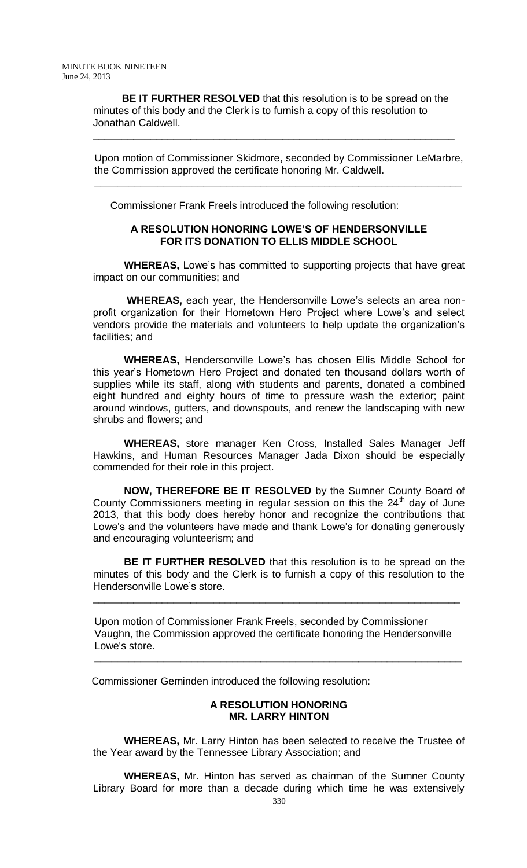**BE IT FURTHER RESOLVED** that this resolution is to be spread on the minutes of this body and the Clerk is to furnish a copy of this resolution to Jonathan Caldwell.

\_\_\_\_\_\_\_\_\_\_\_\_\_\_\_\_\_\_\_\_\_\_\_\_\_\_\_\_\_\_\_\_\_\_\_\_\_\_\_\_\_\_\_\_\_\_\_\_\_\_\_\_\_\_\_\_\_\_\_\_\_\_\_

 Upon motion of Commissioner Skidmore, seconded by Commissioner LeMarbre, the Commission approved the certificate honoring Mr. Caldwell.

Commissioner Frank Freels introduced the following resolution:

 **\_\_\_\_\_\_\_\_\_\_\_\_\_\_\_\_\_\_\_\_\_\_\_\_\_\_\_\_\_\_\_\_\_\_\_\_\_\_\_\_\_\_\_\_\_\_\_\_\_\_\_\_\_\_\_\_\_\_\_\_\_\_\_\_**

## **A RESOLUTION HONORING LOWE'S OF HENDERSONVILLE FOR ITS DONATION TO ELLIS MIDDLE SCHOOL**

**WHEREAS,** Lowe's has committed to supporting projects that have great impact on our communities; and

**WHEREAS,** each year, the Hendersonville Lowe's selects an area nonprofit organization for their Hometown Hero Project where Lowe's and select vendors provide the materials and volunteers to help update the organization's facilities; and

**WHEREAS,** Hendersonville Lowe's has chosen Ellis Middle School for this year's Hometown Hero Project and donated ten thousand dollars worth of supplies while its staff, along with students and parents, donated a combined eight hundred and eighty hours of time to pressure wash the exterior; paint around windows, gutters, and downspouts, and renew the landscaping with new shrubs and flowers; and

**WHEREAS,** store manager Ken Cross, Installed Sales Manager Jeff Hawkins, and Human Resources Manager Jada Dixon should be especially commended for their role in this project.

**NOW, THEREFORE BE IT RESOLVED** by the Sumner County Board of County Commissioners meeting in regular session on this the  $24<sup>th</sup>$  day of June 2013, that this body does hereby honor and recognize the contributions that Lowe's and the volunteers have made and thank Lowe's for donating generously and encouraging volunteerism; and

**BE IT FURTHER RESOLVED** that this resolution is to be spread on the minutes of this body and the Clerk is to furnish a copy of this resolution to the Hendersonville Lowe's store.

\_\_\_\_\_\_\_\_\_\_\_\_\_\_\_\_\_\_\_\_\_\_\_\_\_\_\_\_\_\_\_\_\_\_\_\_\_\_\_\_\_\_\_\_\_\_\_\_\_\_\_\_\_\_\_\_\_\_\_\_\_\_\_\_

 Upon motion of Commissioner Frank Freels, seconded by Commissioner Vaughn, the Commission approved the certificate honoring the Hendersonville Lowe's store.

 **\_\_\_\_\_\_\_\_\_\_\_\_\_\_\_\_\_\_\_\_\_\_\_\_\_\_\_\_\_\_\_\_\_\_\_\_\_\_\_\_\_\_\_\_\_\_\_\_\_\_\_\_\_\_\_\_\_\_\_\_\_\_\_\_**

Commissioner Geminden introduced the following resolution:

#### **A RESOLUTION HONORING MR. LARRY HINTON**

**WHEREAS,** Mr. Larry Hinton has been selected to receive the Trustee of the Year award by the Tennessee Library Association; and

**WHEREAS,** Mr. Hinton has served as chairman of the Sumner County Library Board for more than a decade during which time he was extensively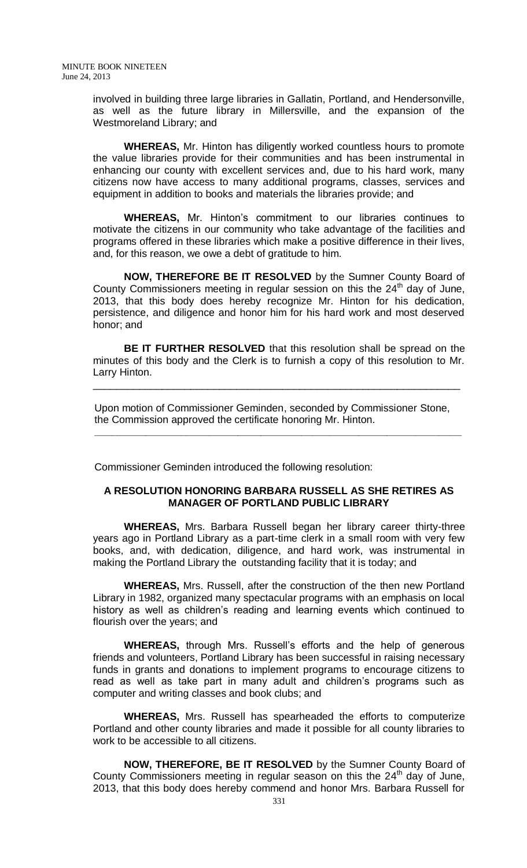involved in building three large libraries in Gallatin, Portland, and Hendersonville, as well as the future library in Millersville, and the expansion of the Westmoreland Library; and

**WHEREAS,** Mr. Hinton has diligently worked countless hours to promote the value libraries provide for their communities and has been instrumental in enhancing our county with excellent services and, due to his hard work, many citizens now have access to many additional programs, classes, services and equipment in addition to books and materials the libraries provide; and

**WHEREAS,** Mr. Hinton's commitment to our libraries continues to motivate the citizens in our community who take advantage of the facilities and programs offered in these libraries which make a positive difference in their lives, and, for this reason, we owe a debt of gratitude to him.

**NOW, THEREFORE BE IT RESOLVED** by the Sumner County Board of County Commissioners meeting in regular session on this the  $24<sup>th</sup>$  day of June, 2013, that this body does hereby recognize Mr. Hinton for his dedication, persistence, and diligence and honor him for his hard work and most deserved honor; and

**BE IT FURTHER RESOLVED** that this resolution shall be spread on the minutes of this body and the Clerk is to furnish a copy of this resolution to Mr. Larry Hinton.

\_\_\_\_\_\_\_\_\_\_\_\_\_\_\_\_\_\_\_\_\_\_\_\_\_\_\_\_\_\_\_\_\_\_\_\_\_\_\_\_\_\_\_\_\_\_\_\_\_\_\_\_\_\_\_\_\_\_\_\_\_\_\_\_

 Upon motion of Commissioner Geminden, seconded by Commissioner Stone, the Commission approved the certificate honoring Mr. Hinton.

 **\_\_\_\_\_\_\_\_\_\_\_\_\_\_\_\_\_\_\_\_\_\_\_\_\_\_\_\_\_\_\_\_\_\_\_\_\_\_\_\_\_\_\_\_\_\_\_\_\_\_\_\_\_\_\_\_\_\_\_\_\_\_\_\_**

Commissioner Geminden introduced the following resolution:

## **A RESOLUTION HONORING BARBARA RUSSELL AS SHE RETIRES AS MANAGER OF PORTLAND PUBLIC LIBRARY**

**WHEREAS,** Mrs. Barbara Russell began her library career thirty-three years ago in Portland Library as a part-time clerk in a small room with very few books, and, with dedication, diligence, and hard work, was instrumental in making the Portland Library the outstanding facility that it is today; and

**WHEREAS,** Mrs. Russell, after the construction of the then new Portland Library in 1982, organized many spectacular programs with an emphasis on local history as well as children's reading and learning events which continued to flourish over the years; and

**WHEREAS,** through Mrs. Russell's efforts and the help of generous friends and volunteers, Portland Library has been successful in raising necessary funds in grants and donations to implement programs to encourage citizens to read as well as take part in many adult and children's programs such as computer and writing classes and book clubs; and

**WHEREAS,** Mrs. Russell has spearheaded the efforts to computerize Portland and other county libraries and made it possible for all county libraries to work to be accessible to all citizens.

**NOW, THEREFORE, BE IT RESOLVED** by the Sumner County Board of County Commissioners meeting in regular season on this the 24<sup>th</sup> day of June, 2013, that this body does hereby commend and honor Mrs. Barbara Russell for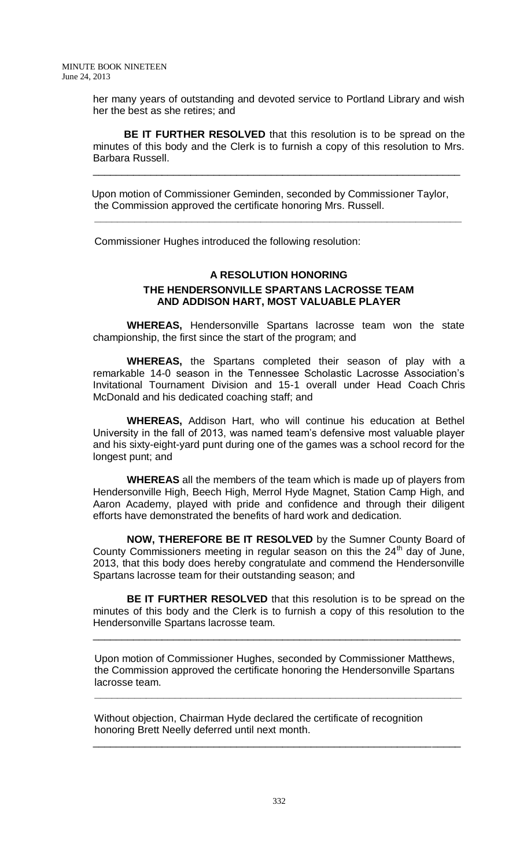her many years of outstanding and devoted service to Portland Library and wish her the best as she retires; and

**BE IT FURTHER RESOLVED** that this resolution is to be spread on the minutes of this body and the Clerk is to furnish a copy of this resolution to Mrs. Barbara Russell.

\_\_\_\_\_\_\_\_\_\_\_\_\_\_\_\_\_\_\_\_\_\_\_\_\_\_\_\_\_\_\_\_\_\_\_\_\_\_\_\_\_\_\_\_\_\_\_\_\_\_\_\_\_\_\_\_\_\_\_\_\_\_\_\_

Upon motion of Commissioner Geminden, seconded by Commissioner Taylor, the Commission approved the certificate honoring Mrs. Russell.

 **\_\_\_\_\_\_\_\_\_\_\_\_\_\_\_\_\_\_\_\_\_\_\_\_\_\_\_\_\_\_\_\_\_\_\_\_\_\_\_\_\_\_\_\_\_\_\_\_\_\_\_\_\_\_\_\_\_\_\_\_\_\_\_\_** 

Commissioner Hughes introduced the following resolution:

## **A RESOLUTION HONORING THE HENDERSONVILLE SPARTANS LACROSSE TEAM AND ADDISON HART, MOST VALUABLE PLAYER**

**WHEREAS,** Hendersonville Spartans lacrosse team won the state championship, the first since the start of the program; and

**WHEREAS,** the Spartans completed their season of play with a remarkable 14-0 season in the Tennessee Scholastic Lacrosse Association's Invitational Tournament Division and 15-1 overall under Head Coach Chris McDonald and his dedicated coaching staff; and

**WHEREAS,** Addison Hart, who will continue his education at Bethel University in the fall of 2013, was named team's defensive most valuable player and his sixty-eight-yard punt during one of the games was a school record for the longest punt; and

**WHEREAS** all the members of the team which is made up of players from Hendersonville High, Beech High, Merrol Hyde Magnet, Station Camp High, and Aaron Academy, played with pride and confidence and through their diligent efforts have demonstrated the benefits of hard work and dedication.

**NOW, THEREFORE BE IT RESOLVED** by the Sumner County Board of County Commissioners meeting in regular season on this the 24<sup>th</sup> day of June, 2013, that this body does hereby congratulate and commend the Hendersonville Spartans lacrosse team for their outstanding season; and

**BE IT FURTHER RESOLVED** that this resolution is to be spread on the minutes of this body and the Clerk is to furnish a copy of this resolution to the Hendersonville Spartans lacrosse team.

\_\_\_\_\_\_\_\_\_\_\_\_\_\_\_\_\_\_\_\_\_\_\_\_\_\_\_\_\_\_\_\_\_\_\_\_\_\_\_\_\_\_\_\_\_\_\_\_\_\_\_\_\_\_\_\_\_\_\_\_\_\_\_\_

 Upon motion of Commissioner Hughes, seconded by Commissioner Matthews, the Commission approved the certificate honoring the Hendersonville Spartans lacrosse team.

Without objection, Chairman Hyde declared the certificate of recognition honoring Brett Neelly deferred until next month.

 **\_\_\_\_\_\_\_\_\_\_\_\_\_\_\_\_\_\_\_\_\_\_\_\_\_\_\_\_\_\_\_\_\_\_\_\_\_\_\_\_\_\_\_\_\_\_\_\_\_\_\_\_\_\_\_\_\_\_\_\_\_\_\_\_**

\_\_\_\_\_\_\_\_\_\_\_\_\_\_\_\_\_\_\_\_\_\_\_\_\_\_\_\_\_\_\_\_\_\_\_\_\_\_\_\_\_\_\_\_\_\_\_\_\_\_\_\_\_\_\_\_\_\_\_\_\_\_\_\_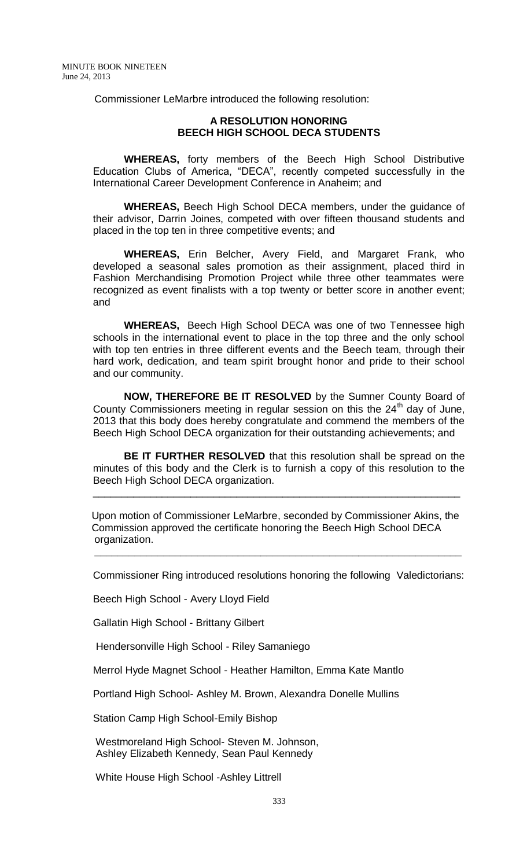Commissioner LeMarbre introduced the following resolution:

## **A RESOLUTION HONORING BEECH HIGH SCHOOL DECA STUDENTS**

**WHEREAS,** forty members of the Beech High School Distributive Education Clubs of America, "DECA", recently competed successfully in the International Career Development Conference in Anaheim; and

**WHEREAS,** Beech High School DECA members, under the guidance of their advisor, Darrin Joines, competed with over fifteen thousand students and placed in the top ten in three competitive events; and

**WHEREAS,** Erin Belcher, Avery Field, and Margaret Frank, who developed a seasonal sales promotion as their assignment, placed third in Fashion Merchandising Promotion Project while three other teammates were recognized as event finalists with a top twenty or better score in another event; and

**WHEREAS,** Beech High School DECA was one of two Tennessee high schools in the international event to place in the top three and the only school with top ten entries in three different events and the Beech team, through their hard work, dedication, and team spirit brought honor and pride to their school and our community.

**NOW, THEREFORE BE IT RESOLVED** by the Sumner County Board of County Commissioners meeting in regular session on this the  $24<sup>th</sup>$  day of June, 2013 that this body does hereby congratulate and commend the members of the Beech High School DECA organization for their outstanding achievements; and

**BE IT FURTHER RESOLVED** that this resolution shall be spread on the minutes of this body and the Clerk is to furnish a copy of this resolution to the Beech High School DECA organization.

 Upon motion of Commissioner LeMarbre, seconded by Commissioner Akins, the Commission approved the certificate honoring the Beech High School DECA organization.

 **\_\_\_\_\_\_\_\_\_\_\_\_\_\_\_\_\_\_\_\_\_\_\_\_\_\_\_\_\_\_\_\_\_\_\_\_\_\_\_\_\_\_\_\_\_\_\_\_\_\_\_\_\_\_\_\_\_\_\_\_\_\_\_\_**

\_\_\_\_\_\_\_\_\_\_\_\_\_\_\_\_\_\_\_\_\_\_\_\_\_\_\_\_\_\_\_\_\_\_\_\_\_\_\_\_\_\_\_\_\_\_\_\_\_\_\_\_\_\_\_\_\_\_\_\_\_\_\_\_

Commissioner Ring introduced resolutions honoring the following Valedictorians:

Beech High School - Avery Lloyd Field

Gallatin High School - Brittany Gilbert

Hendersonville High School - Riley Samaniego

Merrol Hyde Magnet School - Heather Hamilton, Emma Kate Mantlo

Portland High School- Ashley M. Brown, Alexandra Donelle Mullins

Station Camp High School-Emily Bishop

Westmoreland High School- Steven M. Johnson, Ashley Elizabeth Kennedy, Sean Paul Kennedy

White House High School -Ashley Littrell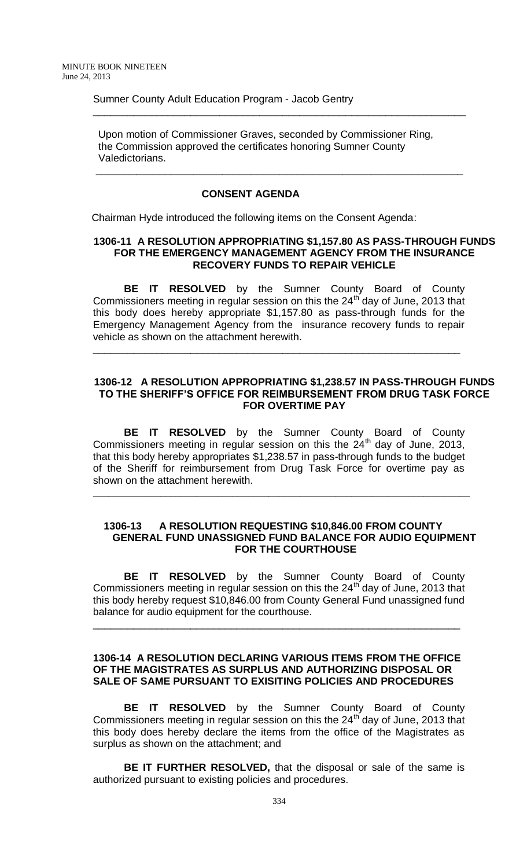Sumner County Adult Education Program - Jacob Gentry

 Upon motion of Commissioner Graves, seconded by Commissioner Ring, the Commission approved the certificates honoring Sumner County Valedictorians.

\_\_\_\_\_\_\_\_\_\_\_\_\_\_\_\_\_\_\_\_\_\_\_\_\_\_\_\_\_\_\_\_\_\_\_\_\_\_\_\_\_\_\_\_\_\_\_\_\_\_\_\_\_\_\_\_\_\_\_\_\_\_\_\_\_

**\_\_\_\_\_\_\_\_\_\_\_\_\_\_\_\_\_\_\_\_\_\_\_\_\_\_\_\_\_\_\_\_\_\_\_\_\_\_\_\_\_\_\_\_\_\_\_\_\_\_\_\_\_\_\_\_\_\_\_\_\_\_\_\_**

## **CONSENT AGENDA**

Chairman Hyde introduced the following items on the Consent Agenda:

## **1306-11 A RESOLUTION APPROPRIATING \$1,157.80 AS PASS-THROUGH FUNDS FOR THE EMERGENCY MANAGEMENT AGENCY FROM THE INSURANCE RECOVERY FUNDS TO REPAIR VEHICLE**

**BE IT RESOLVED** by the Sumner County Board of County Commissioners meeting in regular session on this the  $24<sup>th</sup>$  day of June, 2013 that this body does hereby appropriate \$1,157.80 as pass-through funds for the Emergency Management Agency from the insurance recovery funds to repair vehicle as shown on the attachment herewith.

\_\_\_\_\_\_\_\_\_\_\_\_\_\_\_\_\_\_\_\_\_\_\_\_\_\_\_\_\_\_\_\_\_\_\_\_\_\_\_\_\_\_\_\_\_\_\_\_\_\_\_\_\_\_\_\_\_\_\_\_\_\_\_\_

### **1306-12 A RESOLUTION APPROPRIATING \$1,238.57 IN PASS-THROUGH FUNDS TO THE SHERIFF'S OFFICE FOR REIMBURSEMENT FROM DRUG TASK FORCE FOR OVERTIME PAY**

**BE IT RESOLVED** by the Sumner County Board of County Commissioners meeting in regular session on this the  $24<sup>th</sup>$  day of June, 2013, that this body hereby appropriates \$1,238.57 in pass-through funds to the budget of the Sheriff for reimbursement from Drug Task Force for overtime pay as shown on the attachment herewith.

\_\_\_\_\_\_\_\_\_\_\_\_\_\_\_\_\_\_\_\_\_\_\_\_\_\_\_\_\_\_\_\_\_\_\_\_\_\_\_\_\_\_\_\_\_\_\_\_\_\_\_\_\_\_\_\_\_\_\_\_\_\_\_\_\_\_\_\_\_\_\_\_\_

## **1306-13 A RESOLUTION REQUESTING \$10,846.00 FROM COUNTY GENERAL FUND UNASSIGNED FUND BALANCE FOR AUDIO EQUIPMENT FOR THE COURTHOUSE**

**BE IT RESOLVED** by the Sumner County Board of County Commissioners meeting in regular session on this the  $24<sup>th</sup>$  day of June, 2013 that this body hereby request \$10,846.00 from County General Fund unassigned fund balance for audio equipment for the courthouse.

\_\_\_\_\_\_\_\_\_\_\_\_\_\_\_\_\_\_\_\_\_\_\_\_\_\_\_\_\_\_\_\_\_\_\_\_\_\_\_\_\_\_\_\_\_\_\_\_\_\_\_\_\_\_\_\_\_\_\_\_\_\_\_\_

## **1306-14 A RESOLUTION DECLARING VARIOUS ITEMS FROM THE OFFICE OF THE MAGISTRATES AS SURPLUS AND AUTHORIZING DISPOSAL OR SALE OF SAME PURSUANT TO EXISITING POLICIES AND PROCEDURES**

**BE IT RESOLVED** by the Sumner County Board of County Commissioners meeting in regular session on this the  $24<sup>th</sup>$  day of June, 2013 that this body does hereby declare the items from the office of the Magistrates as surplus as shown on the attachment; and

**BE IT FURTHER RESOLVED,** that the disposal or sale of the same is authorized pursuant to existing policies and procedures.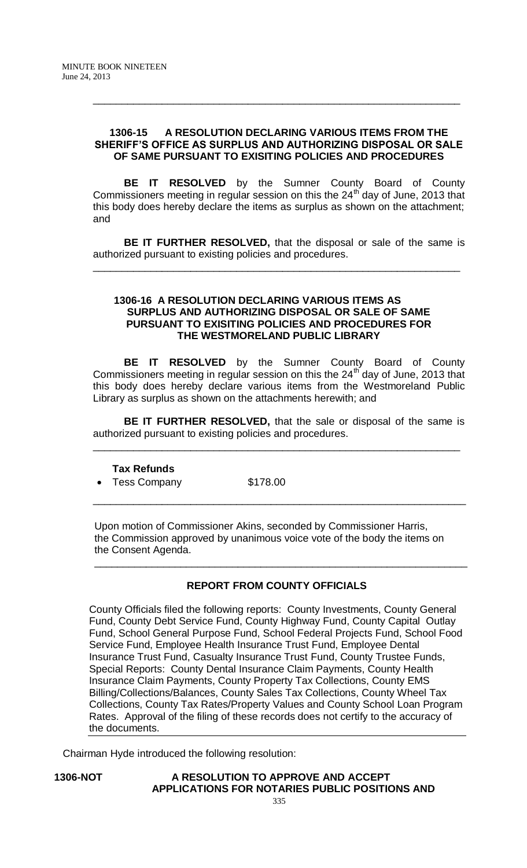## **1306-15 A RESOLUTION DECLARING VARIOUS ITEMS FROM THE SHERIFF'S OFFICE AS SURPLUS AND AUTHORIZING DISPOSAL OR SALE OF SAME PURSUANT TO EXISITING POLICIES AND PROCEDURES**

\_\_\_\_\_\_\_\_\_\_\_\_\_\_\_\_\_\_\_\_\_\_\_\_\_\_\_\_\_\_\_\_\_\_\_\_\_\_\_\_\_\_\_\_\_\_\_\_\_\_\_\_\_\_\_\_\_\_\_\_\_\_\_\_

**BE IT RESOLVED** by the Sumner County Board of County Commissioners meeting in regular session on this the  $24<sup>th</sup>$  day of June, 2013 that this body does hereby declare the items as surplus as shown on the attachment; and

**BE IT FURTHER RESOLVED,** that the disposal or sale of the same is authorized pursuant to existing policies and procedures.

\_\_\_\_\_\_\_\_\_\_\_\_\_\_\_\_\_\_\_\_\_\_\_\_\_\_\_\_\_\_\_\_\_\_\_\_\_\_\_\_\_\_\_\_\_\_\_\_\_\_\_\_\_\_\_\_\_\_\_\_\_\_\_\_

### **1306-16 A RESOLUTION DECLARING VARIOUS ITEMS AS SURPLUS AND AUTHORIZING DISPOSAL OR SALE OF SAME PURSUANT TO EXISITING POLICIES AND PROCEDURES FOR THE WESTMORELAND PUBLIC LIBRARY**

**BE IT RESOLVED** by the Sumner County Board of County Commissioners meeting in regular session on this the 24<sup>th</sup> day of June, 2013 that this body does hereby declare various items from the Westmoreland Public Library as surplus as shown on the attachments herewith; and

**BE IT FURTHER RESOLVED,** that the sale or disposal of the same is authorized pursuant to existing policies and procedures.

\_\_\_\_\_\_\_\_\_\_\_\_\_\_\_\_\_\_\_\_\_\_\_\_\_\_\_\_\_\_\_\_\_\_\_\_\_\_\_\_\_\_\_\_\_\_\_\_\_\_\_\_\_\_\_\_\_\_\_\_\_\_\_\_

\_\_\_\_\_\_\_\_\_\_\_\_\_\_\_\_\_\_\_\_\_\_\_\_\_\_\_\_\_\_\_\_\_\_\_\_\_\_\_\_\_\_\_\_\_\_\_\_\_\_\_\_\_\_\_\_\_\_\_\_\_\_\_\_\_

## **Tax Refunds**

• Tess Company \$178.00

 Upon motion of Commissioner Akins, seconded by Commissioner Harris, the Commission approved by unanimous voice vote of the body the items on the Consent Agenda.

\_\_\_\_\_\_\_\_\_\_\_\_\_\_\_\_\_\_\_\_\_\_\_\_\_\_\_\_\_\_\_\_\_\_\_\_\_\_\_\_\_\_\_\_\_\_\_\_\_\_\_\_\_\_\_\_\_\_\_\_\_\_\_\_\_

## **REPORT FROM COUNTY OFFICIALS**

County Officials filed the following reports: County Investments, County General Fund, County Debt Service Fund, County Highway Fund, County Capital Outlay Fund, School General Purpose Fund, School Federal Projects Fund, School Food Service Fund, Employee Health Insurance Trust Fund, Employee Dental Insurance Trust Fund, Casualty Insurance Trust Fund, County Trustee Funds, Special Reports: County Dental Insurance Claim Payments, County Health Insurance Claim Payments, County Property Tax Collections, County EMS Billing/Collections/Balances, County Sales Tax Collections, County Wheel Tax Collections, County Tax Rates/Property Values and County School Loan Program Rates. Approval of the filing of these records does not certify to the accuracy of the documents.

Chairman Hyde introduced the following resolution:

**1306-NOT A RESOLUTION TO APPROVE AND ACCEPT APPLICATIONS FOR NOTARIES PUBLIC POSITIONS AND**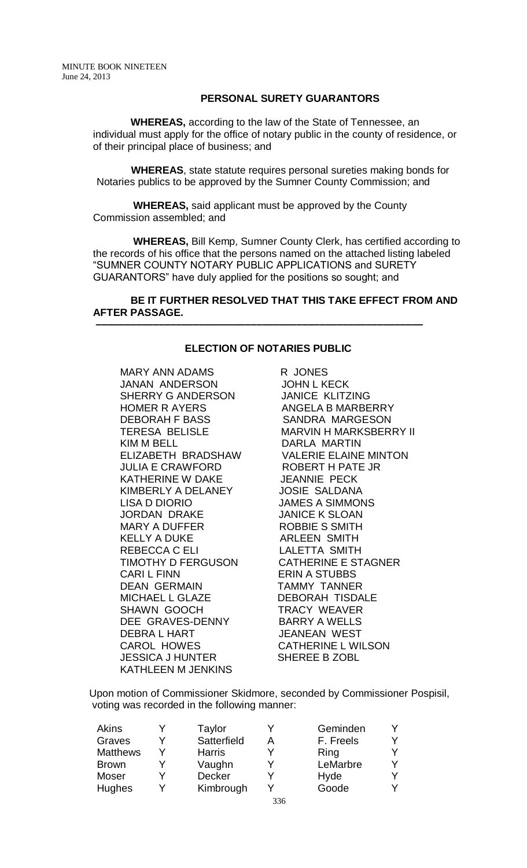## **PERSONAL SURETY GUARANTORS**

 **WHEREAS,** according to the law of the State of Tennessee, an individual must apply for the office of notary public in the county of residence, or of their principal place of business; and

 **WHEREAS**, state statute requires personal sureties making bonds for Notaries publics to be approved by the Sumner County Commission; and

 **WHEREAS,** said applicant must be approved by the County Commission assembled; and

 **WHEREAS,** Bill Kemp, Sumner County Clerk, has certified according to the records of his office that the persons named on the attached listing labeled "SUMNER COUNTY NOTARY PUBLIC APPLICATIONS and SURETY GUARANTORS" have duly applied for the positions so sought; and

## **BE IT FURTHER RESOLVED THAT THIS TAKE EFFECT FROM AND AFTER PASSAGE.**

## **ELECTION OF NOTARIES PUBLIC**

 **–––––––––––––––––––––––––––––––––––––––––––––––––––––––––**

MARY ANN ADAMS R JONES JANAN ANDERSON JOHN L KECK SHERRY G ANDERSON JANICE KLITZING HOMER R AYERS ANGELA B MARBERRY DEBORAH F BASS SANDRA MARGESON KIM M BELL DARLA MARTIN JULIA E CRAWFORD ROBERT H PATE JR KATHERINE W DAKE JEANNIE PECK KIMBERLY A DELANEY JOSIE SALDANA LISA D DIORIO JAMES A SIMMONS JORDAN DRAKE JANICE K SLOAN MARY A DUFFER ROBBIE S SMITH KELLY A DUKE ARLEEN SMITH REBECCA C ELI LALETTA SMITH TIMOTHY D FERGUSON CATHERINE E STAGNER CARI L FINN ERIN A STUBBS DEAN GERMAIN TAMMY TANNER MICHAEL L GLAZE DEBORAH TISDALE SHAWN GOOCH **TRACY WEAVER** DEE GRAVES-DENNY BARRY A WELLS DEBRA L HART JEANEAN WEST CAROL HOWES CATHERINE L WILSON JESSICA J HUNTER SHEREE B ZOBL KATHLEEN M JENKINS

TERESA BELISLE MARVIN H MARKSBERRY II ELIZABETH BRADSHAW VALERIE ELAINE MINTON

Upon motion of Commissioner Skidmore, seconded by Commissioner Pospisil, voting was recorded in the following manner:

| Akins           | Taylor        | Geminden  | v |
|-----------------|---------------|-----------|---|
| Graves          | Satterfield   | F. Freels | v |
| <b>Matthews</b> | <b>Harris</b> | Ring      | v |
| <b>Brown</b>    | Vaughn        | LeMarbre  | v |
| Moser           | <b>Decker</b> | Hyde      | v |
| <b>Hughes</b>   | Kimbrough     | Goode     | v |
|                 |               |           |   |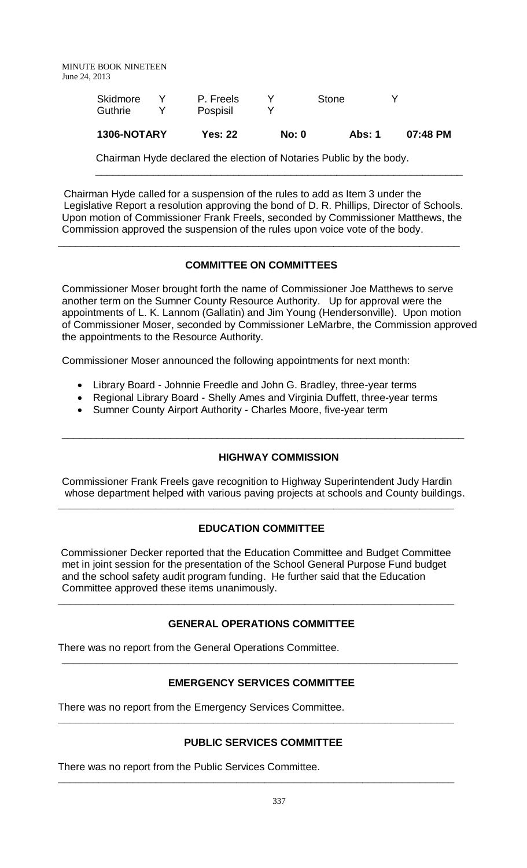| <b>Skidmore</b><br>Guthrie | P. Freels<br>Pospisil |              | Stone  |          |
|----------------------------|-----------------------|--------------|--------|----------|
| 1306-NOTARY                | <b>Yes: 22</b>        | <b>No: 0</b> | Abs: 1 | 07:48 PM |

Chairman Hyde declared the election of Notaries Public by the body.

\_\_\_\_\_\_\_\_\_\_\_\_\_\_\_\_\_\_\_\_\_\_\_\_\_\_\_\_\_\_\_\_\_\_\_\_\_\_\_\_\_\_\_\_\_\_\_\_\_\_\_\_\_\_\_\_\_\_\_\_\_\_\_\_

Chairman Hyde called for a suspension of the rules to add as Item 3 under the Legislative Report a resolution approving the bond of D. R. Phillips, Director of Schools. Upon motion of Commissioner Frank Freels, seconded by Commissioner Matthews, the Commission approved the suspension of the rules upon voice vote of the body.

# **COMMITTEE ON COMMITTEES**

\_\_\_\_\_\_\_\_\_\_\_\_\_\_\_\_\_\_\_\_\_\_\_\_\_\_\_\_\_\_\_\_\_\_\_\_\_\_\_\_\_\_\_\_\_\_\_\_\_\_\_\_\_\_\_\_\_\_\_\_\_\_\_\_\_\_\_\_\_\_

Commissioner Moser brought forth the name of Commissioner Joe Matthews to serve another term on the Sumner County Resource Authority. Up for approval were the appointments of L. K. Lannom (Gallatin) and Jim Young (Hendersonville). Upon motion of Commissioner Moser, seconded by Commissioner LeMarbre, the Commission approved the appointments to the Resource Authority.

Commissioner Moser announced the following appointments for next month:

- Library Board Johnnie Freedle and John G. Bradley, three-year terms
- Regional Library Board Shelly Ames and Virginia Duffett, three-year terms

\_\_\_\_\_\_\_\_\_\_\_\_\_\_\_\_\_\_\_\_\_\_\_\_\_\_\_\_\_\_\_\_\_\_\_\_\_\_\_\_\_\_\_\_\_\_\_\_\_\_\_\_\_\_\_\_\_\_\_\_\_\_\_\_\_\_\_\_\_\_

• Sumner County Airport Authority - Charles Moore, five-year term

## **HIGHWAY COMMISSION**

Commissioner Frank Freels gave recognition to Highway Superintendent Judy Hardin whose department helped with various paving projects at schools and County buildings.

## **EDUCATION COMMITTEE**

**\_\_\_\_\_\_\_\_\_\_\_\_\_\_\_\_\_\_\_\_\_\_\_\_\_\_\_\_\_\_\_\_\_\_\_\_\_\_\_\_\_\_\_\_\_\_\_\_\_\_\_\_\_\_\_\_\_\_\_\_\_\_\_\_\_\_\_\_\_**

Commissioner Decker reported that the Education Committee and Budget Committee met in joint session for the presentation of the School General Purpose Fund budget and the school safety audit program funding. He further said that the Education Committee approved these items unanimously.

**\_\_\_\_\_\_\_\_\_\_\_\_\_\_\_\_\_\_\_\_\_\_\_\_\_\_\_\_\_\_\_\_\_\_\_\_\_\_\_\_\_\_\_\_\_\_\_\_\_\_\_\_\_\_\_\_\_\_\_\_\_\_\_\_\_\_\_\_\_**

## **GENERAL OPERATIONS COMMITTEE**

There was no report from the General Operations Committee.

# **EMERGENCY SERVICES COMMITTEE**

**\_\_\_\_\_\_\_\_\_\_\_\_\_\_\_\_\_\_\_\_\_\_\_\_\_\_\_\_\_\_\_\_\_\_\_\_\_\_\_\_\_\_\_\_\_\_\_\_\_\_\_\_\_\_\_\_\_\_\_\_\_\_\_\_\_\_\_\_\_**

There was no report from the Emergency Services Committee.

## **PUBLIC SERVICES COMMITTEE**

**\_\_\_\_\_\_\_\_\_\_\_\_\_\_\_\_\_\_\_\_\_\_\_\_\_\_\_\_\_\_\_\_\_\_\_\_\_\_\_\_\_\_\_\_\_\_\_\_\_\_\_\_\_\_\_\_\_\_\_\_\_\_\_\_\_\_\_\_\_**

**\_\_\_\_\_\_\_\_\_\_\_\_\_\_\_\_\_\_\_\_\_\_\_\_\_\_\_\_\_\_\_\_\_\_\_\_\_\_\_\_\_\_\_\_\_\_\_\_\_\_\_\_\_\_\_\_\_\_\_\_\_\_\_\_\_\_\_\_\_**

There was no report from the Public Services Committee.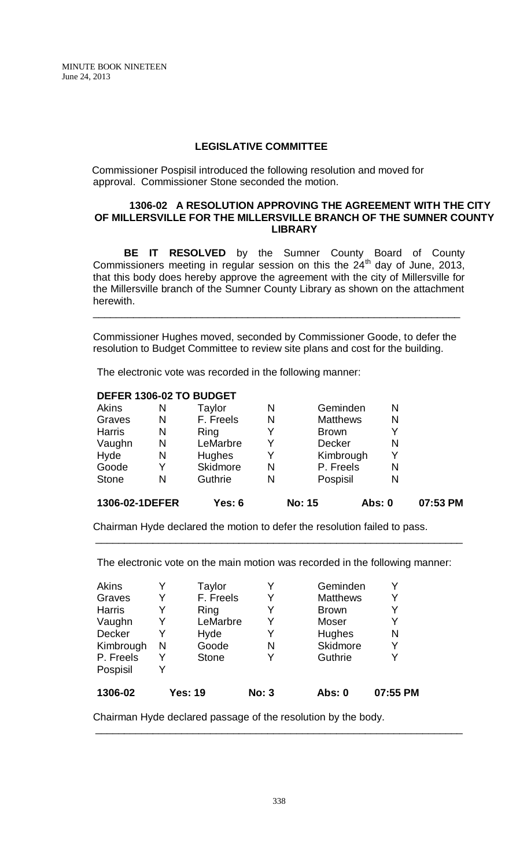## **LEGISLATIVE COMMITTEE**

Commissioner Pospisil introduced the following resolution and moved for approval. Commissioner Stone seconded the motion.

#### **1306-02 A RESOLUTION APPROVING THE AGREEMENT WITH THE CITY OF MILLERSVILLE FOR THE MILLERSVILLE BRANCH OF THE SUMNER COUNTY LIBRARY**

**BE IT RESOLVED** by the Sumner County Board of County Commissioners meeting in regular session on this the  $24<sup>th</sup>$  day of June, 2013, that this body does hereby approve the agreement with the city of Millersville for the Millersville branch of the Sumner County Library as shown on the attachment herewith.

Commissioner Hughes moved, seconded by Commissioner Goode, to defer the resolution to Budget Committee to review site plans and cost for the building.

\_\_\_\_\_\_\_\_\_\_\_\_\_\_\_\_\_\_\_\_\_\_\_\_\_\_\_\_\_\_\_\_\_\_\_\_\_\_\_\_\_\_\_\_\_\_\_\_\_\_\_\_\_\_\_\_\_\_\_\_\_\_\_\_

The electronic vote was recorded in the following manner:

#### **DEFER 1306-02 TO BUDGET**

| 1306-02-1DEFER |   | Yes: 6    |   | <b>No: 15</b>   | Abs: 0 | 07:53 PM |
|----------------|---|-----------|---|-----------------|--------|----------|
| <b>Stone</b>   | N | Guthrie   | N | Pospisil        | N      |          |
| Goode          |   | Skidmore  | N | P. Freels       | N      |          |
| Hyde           | N | Hughes    | Y | Kimbrough       |        |          |
| Vaughn         | N | LeMarbre  | Y | <b>Decker</b>   | N      |          |
| <b>Harris</b>  | N | Ring      | Y | <b>Brown</b>    |        |          |
| Graves         | N | F. Freels | N | <b>Matthews</b> | N      |          |
| Akins          | N | Taylor    | N | Geminden        | N      |          |

Chairman Hyde declared the motion to defer the resolution failed to pass. \_\_\_\_\_\_\_\_\_\_\_\_\_\_\_\_\_\_\_\_\_\_\_\_\_\_\_\_\_\_\_\_\_\_\_\_\_\_\_\_\_\_\_\_\_\_\_\_\_\_\_\_\_\_\_\_\_\_\_\_\_\_\_\_

The electronic vote on the main motion was recorded in the following manner:

| Akins         |   | Taylor         | Y            | Geminden        |          |
|---------------|---|----------------|--------------|-----------------|----------|
| Graves        |   | F. Freels      | Y            | <b>Matthews</b> | Y        |
| <b>Harris</b> |   | Ring           | Y            | <b>Brown</b>    | Y        |
| Vaughn        |   | LeMarbre       | Y            | <b>Moser</b>    | Y        |
| Decker        |   | Hyde           | Y            | Hughes          | N        |
| Kimbrough     | N | Goode          | N            | Skidmore        | Y        |
| P. Freels     | v | <b>Stone</b>   | Y            | Guthrie         |          |
| Pospisil      |   |                |              |                 |          |
| 1306-02       |   | <b>Yes: 19</b> | <b>No: 3</b> | Abs: 0          | 07:55 PM |

\_\_\_\_\_\_\_\_\_\_\_\_\_\_\_\_\_\_\_\_\_\_\_\_\_\_\_\_\_\_\_\_\_\_\_\_\_\_\_\_\_\_\_\_\_\_\_\_\_\_\_\_\_\_\_\_\_\_\_\_\_\_\_\_

Chairman Hyde declared passage of the resolution by the body.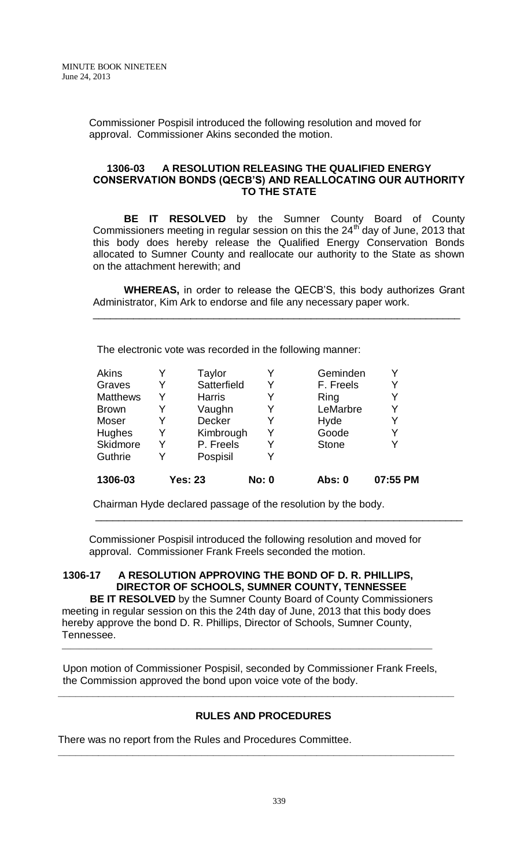Commissioner Pospisil introduced the following resolution and moved for approval. Commissioner Akins seconded the motion.

## **1306-03 A RESOLUTION RELEASING THE QUALIFIED ENERGY CONSERVATION BONDS (QECB'S) AND REALLOCATING OUR AUTHORITY TO THE STATE**

**BE IT RESOLVED** by the Sumner County Board of County Commissioners meeting in regular session on this the  $24<sup>th</sup>$  day of June, 2013 that this body does hereby release the Qualified Energy Conservation Bonds allocated to Sumner County and reallocate our authority to the State as shown on the attachment herewith; and

**WHEREAS,** in order to release the QECB'S, this body authorizes Grant Administrator, Kim Ark to endorse and file any necessary paper work.

\_\_\_\_\_\_\_\_\_\_\_\_\_\_\_\_\_\_\_\_\_\_\_\_\_\_\_\_\_\_\_\_\_\_\_\_\_\_\_\_\_\_\_\_\_\_\_\_\_\_\_\_\_\_\_\_\_\_\_\_\_\_\_\_

The electronic vote was recorded in the following manner:

| 1306-03         |   | <b>Yes: 23</b> | <b>No: 0</b> | Abs: 0       | 07:55 PM |
|-----------------|---|----------------|--------------|--------------|----------|
| <b>Guthrie</b>  | Y | Pospisil       | Y            |              |          |
| <b>Skidmore</b> | Y | P. Freels      | Y            | <b>Stone</b> |          |
| Hughes          | Y | Kimbrough      | Y            | Goode        | Y        |
| Moser           |   | Decker         | Y            | Hyde         | Y        |
| <b>Brown</b>    |   | Vaughn         | Y            | LeMarbre     |          |
| <b>Matthews</b> | Y | <b>Harris</b>  | Y            | Ring         |          |
| Graves          | Y | Satterfield    | Y            | F. Freels    | Y        |
| Akins           |   | Taylor         |              | Geminden     |          |

Chairman Hyde declared passage of the resolution by the body.

Commissioner Pospisil introduced the following resolution and moved for approval. Commissioner Frank Freels seconded the motion.

\_\_\_\_\_\_\_\_\_\_\_\_\_\_\_\_\_\_\_\_\_\_\_\_\_\_\_\_\_\_\_\_\_\_\_\_\_\_\_\_\_\_\_\_\_\_\_\_\_\_\_\_\_\_\_\_\_\_\_\_\_\_\_\_

## **1306-17 A RESOLUTION APPROVING THE BOND OF D. R. PHILLIPS, DIRECTOR OF SCHOOLS, SUMNER COUNTY, TENNESSEE**

 **BE IT RESOLVED** by the Sumner County Board of County Commissioners meeting in regular session on this the 24th day of June, 2013 that this body does hereby approve the bond D. R. Phillips, Director of Schools, Sumner County, Tennessee.

 $\_$  ,  $\_$  ,  $\_$  ,  $\_$  ,  $\_$  ,  $\_$  ,  $\_$  ,  $\_$  ,  $\_$  ,  $\_$  ,  $\_$  ,  $\_$  ,  $\_$  ,  $\_$  ,  $\_$  ,  $\_$  ,  $\_$  ,  $\_$  ,  $\_$  ,  $\_$  ,  $\_$  ,  $\_$  ,  $\_$  ,  $\_$  ,  $\_$  ,  $\_$  ,  $\_$  ,  $\_$  ,  $\_$  ,  $\_$  ,  $\_$  ,  $\_$  ,  $\_$  ,  $\_$  ,  $\_$  ,  $\_$  ,  $\_$  ,

 Upon motion of Commissioner Pospisil, seconded by Commissioner Frank Freels, the Commission approved the bond upon voice vote of the body.

**\_\_\_\_\_\_\_\_\_\_\_\_\_\_\_\_\_\_\_\_\_\_\_\_\_\_\_\_\_\_\_\_\_\_\_\_\_\_\_\_\_\_\_\_\_\_\_\_\_\_\_\_\_\_\_\_\_\_\_\_\_\_\_\_\_\_\_\_\_**

**\_\_\_\_\_\_\_\_\_\_\_\_\_\_\_\_\_\_\_\_\_\_\_\_\_\_\_\_\_\_\_\_\_\_\_\_\_\_\_\_\_\_\_\_\_\_\_\_\_\_\_\_\_\_\_\_\_\_\_\_\_\_\_\_\_\_\_\_\_**

# **RULES AND PROCEDURES**

There was no report from the Rules and Procedures Committee.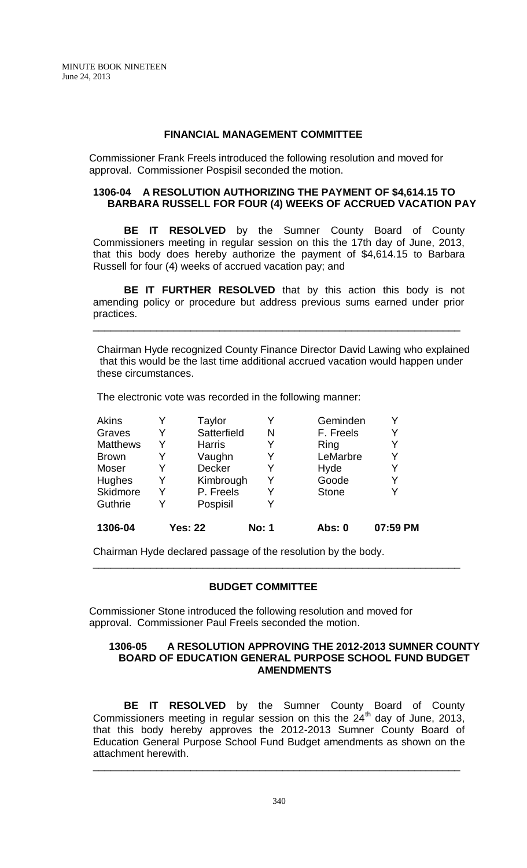## **FINANCIAL MANAGEMENT COMMITTEE**

Commissioner Frank Freels introduced the following resolution and moved for approval. Commissioner Pospisil seconded the motion.

## **1306-04 A RESOLUTION AUTHORIZING THE PAYMENT OF \$4,614.15 TO BARBARA RUSSELL FOR FOUR (4) WEEKS OF ACCRUED VACATION PAY**

**BE IT RESOLVED** by the Sumner County Board of County Commissioners meeting in regular session on this the 17th day of June, 2013, that this body does hereby authorize the payment of \$4,614.15 to Barbara Russell for four (4) weeks of accrued vacation pay; and

**BE IT FURTHER RESOLVED** that by this action this body is not amending policy or procedure but address previous sums earned under prior practices.

\_\_\_\_\_\_\_\_\_\_\_\_\_\_\_\_\_\_\_\_\_\_\_\_\_\_\_\_\_\_\_\_\_\_\_\_\_\_\_\_\_\_\_\_\_\_\_\_\_\_\_\_\_\_\_\_\_\_\_\_\_\_\_\_

Chairman Hyde recognized County Finance Director David Lawing who explained that this would be the last time additional accrued vacation would happen under these circumstances.

| 1306-04         |   | <b>Yes: 22</b> | <b>No: 1</b> | Abs: 0       | 07:59 PM |
|-----------------|---|----------------|--------------|--------------|----------|
| Guthrie         |   | Pospisil       | Y            |              |          |
| Skidmore        |   | P. Freels      | Y            | <b>Stone</b> |          |
| Hughes          | Y | Kimbrough      | Y            | Goode        | Y        |
| Moser           | Y | Decker         | Y            | Hyde         | Y        |
| <b>Brown</b>    |   | Vaughn         | Y            | LeMarbre     | v        |
| <b>Matthews</b> |   | <b>Harris</b>  | Y            | Ring         |          |
| Graves          | Y | Satterfield    | Ν            | F. Freels    | Y        |
| Akins           |   | Taylor         | Y            | Geminden     |          |

The electronic vote was recorded in the following manner:

Chairman Hyde declared passage of the resolution by the body.

## **BUDGET COMMITTEE**

\_\_\_\_\_\_\_\_\_\_\_\_\_\_\_\_\_\_\_\_\_\_\_\_\_\_\_\_\_\_\_\_\_\_\_\_\_\_\_\_\_\_\_\_\_\_\_\_\_\_\_\_\_\_\_\_\_\_\_\_\_\_\_\_

Commissioner Stone introduced the following resolution and moved for approval. Commissioner Paul Freels seconded the motion.

## **1306-05 A RESOLUTION APPROVING THE 2012-2013 SUMNER COUNTY BOARD OF EDUCATION GENERAL PURPOSE SCHOOL FUND BUDGET AMENDMENTS**

**BE IT RESOLVED** by the Sumner County Board of County Commissioners meeting in regular session on this the  $24<sup>th</sup>$  day of June, 2013, that this body hereby approves the 2012-2013 Sumner County Board of Education General Purpose School Fund Budget amendments as shown on the attachment herewith.

\_\_\_\_\_\_\_\_\_\_\_\_\_\_\_\_\_\_\_\_\_\_\_\_\_\_\_\_\_\_\_\_\_\_\_\_\_\_\_\_\_\_\_\_\_\_\_\_\_\_\_\_\_\_\_\_\_\_\_\_\_\_\_\_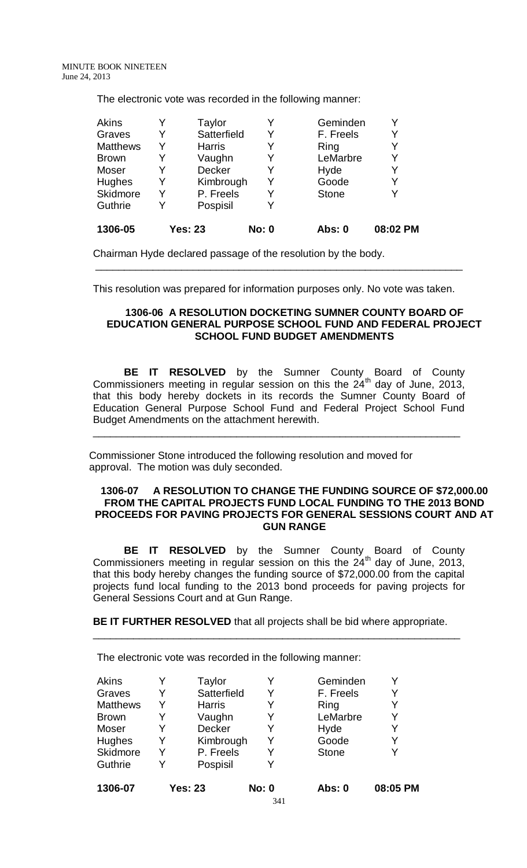The electronic vote was recorded in the following manner:

| 1306-05         |   | <b>Yes: 23</b> | <b>No: 0</b> | Abs: 0       | 08:02 PM |
|-----------------|---|----------------|--------------|--------------|----------|
| Guthrie         | Y | Pospisil       | Y            |              |          |
| <b>Skidmore</b> | Y | P. Freels      | Y            | <b>Stone</b> |          |
| <b>Hughes</b>   | Y | Kimbrough      | Y            | Goode        |          |
| Moser           |   | <b>Decker</b>  | Y            | Hyde         |          |
| <b>Brown</b>    |   | Vaughn         | Y            | LeMarbre     |          |
| <b>Matthews</b> | Y | <b>Harris</b>  | Y            | Ring         |          |
| Graves          | Y | Satterfield    | Y            | F. Freels    |          |
| <b>Akins</b>    |   | Taylor         |              | Geminden     |          |

Chairman Hyde declared passage of the resolution by the body.

This resolution was prepared for information purposes only. No vote was taken.

\_\_\_\_\_\_\_\_\_\_\_\_\_\_\_\_\_\_\_\_\_\_\_\_\_\_\_\_\_\_\_\_\_\_\_\_\_\_\_\_\_\_\_\_\_\_\_\_\_\_\_\_\_\_\_\_\_\_\_\_\_\_\_\_

## **1306-06 A RESOLUTION DOCKETING SUMNER COUNTY BOARD OF EDUCATION GENERAL PURPOSE SCHOOL FUND AND FEDERAL PROJECT SCHOOL FUND BUDGET AMENDMENTS**

**BE IT RESOLVED** by the Sumner County Board of County Commissioners meeting in regular session on this the  $24<sup>th</sup>$  day of June, 2013, that this body hereby dockets in its records the Sumner County Board of Education General Purpose School Fund and Federal Project School Fund Budget Amendments on the attachment herewith.

\_\_\_\_\_\_\_\_\_\_\_\_\_\_\_\_\_\_\_\_\_\_\_\_\_\_\_\_\_\_\_\_\_\_\_\_\_\_\_\_\_\_\_\_\_\_\_\_\_\_\_\_\_\_\_\_\_\_\_\_\_\_\_\_

Commissioner Stone introduced the following resolution and moved for approval. The motion was duly seconded.

## **1306-07 A RESOLUTION TO CHANGE THE FUNDING SOURCE OF \$72,000.00 FROM THE CAPITAL PROJECTS FUND LOCAL FUNDING TO THE 2013 BOND PROCEEDS FOR PAVING PROJECTS FOR GENERAL SESSIONS COURT AND AT GUN RANGE**

**BE IT RESOLVED** by the Sumner County Board of County Commissioners meeting in regular session on this the  $24<sup>th</sup>$  day of June, 2013, that this body hereby changes the funding source of \$72,000.00 from the capital projects fund local funding to the 2013 bond proceeds for paving projects for General Sessions Court and at Gun Range.

**BE IT FURTHER RESOLVED** that all projects shall be bid where appropriate. \_\_\_\_\_\_\_\_\_\_\_\_\_\_\_\_\_\_\_\_\_\_\_\_\_\_\_\_\_\_\_\_\_\_\_\_\_\_\_\_\_\_\_\_\_\_\_\_\_\_\_\_\_\_\_\_\_\_\_\_\_\_\_\_

The electronic vote was recorded in the following manner:

| 1306-07         |   | <b>Yes: 23</b> | <b>No: 0</b> | Abs: 0       | 08:05 PM |
|-----------------|---|----------------|--------------|--------------|----------|
| Guthrie         |   | Pospisil       | Y            |              |          |
| Skidmore        | Y | P. Freels      | Y            | <b>Stone</b> |          |
| <b>Hughes</b>   |   | Kimbrough      | Y            | Goode        | Y        |
| Moser           | Y | Decker         | Y            | Hyde         | Y        |
| <b>Brown</b>    |   | Vaughn         | Y            | LeMarbre     | Y        |
| <b>Matthews</b> |   | <b>Harris</b>  | Y            | Ring         |          |
| Graves          | Y | Satterfield    | Y            | F. Freels    | Y        |
| Akins           |   | Taylor         |              | Geminden     |          |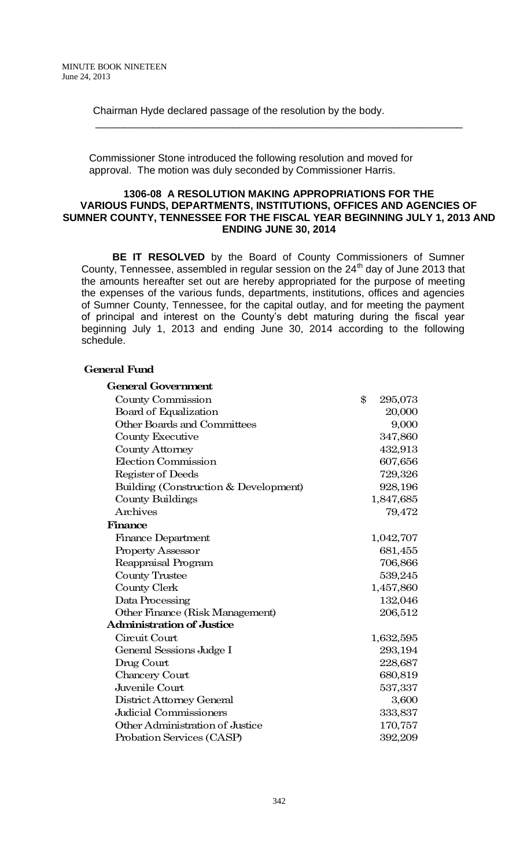Chairman Hyde declared passage of the resolution by the body.

Commissioner Stone introduced the following resolution and moved for approval. The motion was duly seconded by Commissioner Harris.

\_\_\_\_\_\_\_\_\_\_\_\_\_\_\_\_\_\_\_\_\_\_\_\_\_\_\_\_\_\_\_\_\_\_\_\_\_\_\_\_\_\_\_\_\_\_\_\_\_\_\_\_\_\_\_\_\_\_\_\_\_\_\_\_

## **1306-08 A RESOLUTION MAKING APPROPRIATIONS FOR THE VARIOUS FUNDS, DEPARTMENTS, INSTITUTIONS, OFFICES AND AGENCIES OF SUMNER COUNTY, TENNESSEE FOR THE FISCAL YEAR BEGINNING JULY 1, 2013 AND ENDING JUNE 30, 2014**

**BE IT RESOLVED** by the Board of County Commissioners of Sumner County, Tennessee, assembled in regular session on the  $24<sup>th</sup>$  day of June 2013 that the amounts hereafter set out are hereby appropriated for the purpose of meeting the expenses of the various funds, departments, institutions, offices and agencies of Sumner County, Tennessee, for the capital outlay, and for meeting the payment of principal and interest on the County's debt maturing during the fiscal year beginning July 1, 2013 and ending June 30, 2014 according to the following schedule.

## **General Fund**

| <b>General Government</b>             |               |
|---------------------------------------|---------------|
| <b>County Commission</b>              | \$<br>295,073 |
| Board of Equalization                 | 20,000        |
| <b>Other Boards and Committees</b>    | 9,000         |
| County Executive                      | 347,860       |
| County Attorney                       | 432,913       |
| Election Commission                   | 607,656       |
| Register of Deeds                     | 729,326       |
| Building (Construction & Development) | 928,196       |
| County Buildings                      | 1,847,685     |
| Archives                              | 79,472        |
| Finance                               |               |
| <b>Finance Department</b>             | 1,042,707     |
| <b>Property Assessor</b>              | 681,455       |
| Reappraisal Program                   | 706,866       |
| <b>County Trustee</b>                 | 539,245       |
| County Clerk                          | 1,457,860     |
| Data Processing                       | 132,046       |
| Other Finance (Risk Management)       | 206,512       |
| <b>Administration of Justice</b>      |               |
| Circuit Court                         | 1,632,595     |
| General Sessions Judge I              | 293,194       |
| Drug Court                            | 228,687       |
| Chancery Court                        | 680,819       |
| Juvenile Court                        | 537,337       |
| District Attorney General             | 3,600         |
| Judicial Commissioners                | 333,837       |
| Other Administration of Justice       | 170,757       |
| Probation Services (CASP)             | 392,209       |
|                                       |               |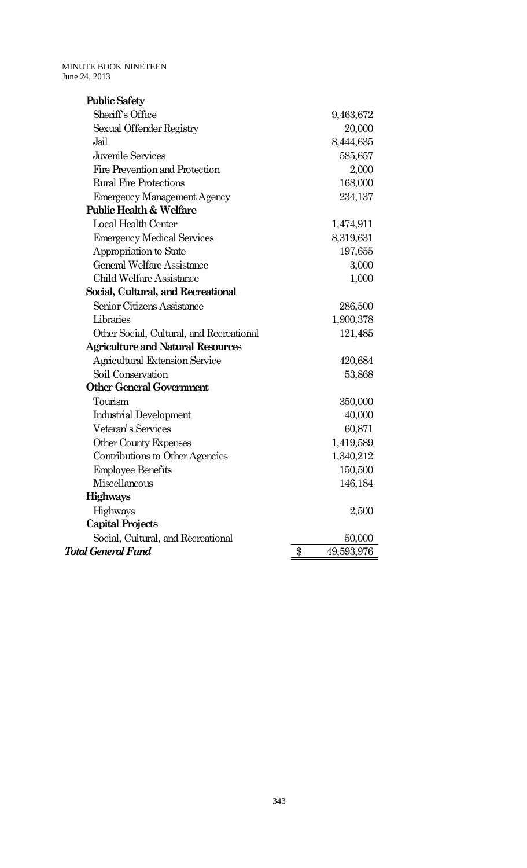| <b>Public Safety</b>                     |                     |
|------------------------------------------|---------------------|
| Sheriff's Office                         | 9,463,672           |
| Sexual Offender Registry                 | 20,000              |
| Jail                                     | 8,444,635           |
| Juvenile Services                        | 585,657             |
| Fire Prevention and Protection           | 2,000               |
| <b>Rural Fire Protections</b>            | 168,000             |
| <b>Emergency Management Agency</b>       | 234,137             |
| <b>Public Health &amp; Welfare</b>       |                     |
| Local Health Center                      | 1,474,911           |
| <b>Emergency Medical Services</b>        | 8,319,631           |
| Appropriation to State                   | 197,655             |
| <b>General Welfare Assistance</b>        | 3,000               |
| Child Welfare Assistance                 | 1,000               |
| Social, Cultural, and Recreational       |                     |
| Senior Citizens Assistance               | 286,500             |
| Libraries                                | 1,900,378           |
| Other Social, Cultural, and Recreational | 121,485             |
| <b>Agriculture and Natural Resources</b> |                     |
| <b>Agricultural Extension Service</b>    | 420,684             |
| Soil Conservation                        | 53,868              |
| <b>Other General Government</b>          |                     |
| Tourism                                  | 350,000             |
| Industrial Development                   | 40,000              |
| Veteran's Services                       | 60,871              |
| Other County Expenses                    | 1,419,589           |
| Contributions to Other Agencies          | 1,340,212           |
| <b>Employee Benefits</b>                 | 150,500             |
| Miscellaneous                            | 146,184             |
| <b>Highways</b>                          |                     |
| <b>Highways</b>                          | 2,500               |
| <b>Capital Projects</b>                  |                     |
| Social, Cultural, and Recreational       | 50,000              |
| <b>Total General Fund</b>                | $\$\$<br>49,593,976 |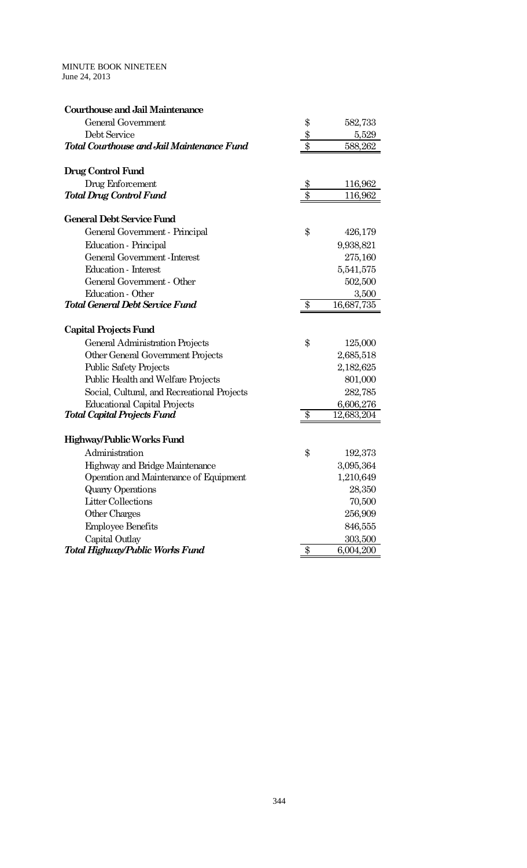| <b>Courthouse and Jail Maintenance</b>            |                  |            |
|---------------------------------------------------|------------------|------------|
| General Government                                | \$               | 582,733    |
| Debt Service                                      | \$               | 5,529      |
| <b>Total Courthouse and Jail Maintenance Fund</b> | $\$\$            | 588,262    |
| Drug Control Fund                                 |                  |            |
| Drug Enforcement                                  | \$               | 116,962    |
| <b>Total Drug Control Fund</b>                    | \$               | 116,962    |
| <b>General Debt Service Fund</b>                  |                  |            |
| General Government - Principal                    | \$               | 426,179    |
| Education - Principal                             |                  | 9,938,821  |
| General Government - Interest                     |                  | 275,160    |
| Education - Interest                              |                  | 5,541,575  |
| General Government - Other                        |                  | 502,500    |
| Education - Other                                 |                  | 3,500      |
| <b>Total General Debt Service Fund</b>            | $\overline{\$}$  | 16,687,735 |
| Capital Projects Fund                             |                  |            |
| General Administration Projects                   | \$               | 125,000    |
| Other General Government Projects                 |                  | 2,685,518  |
| <b>Public Safety Projects</b>                     |                  | 2,182,625  |
| Public Health and Welfare Projects                |                  | 801,000    |
| Social, Cultural, and Recreational Projects       |                  | 282,785    |
| <b>Educational Capital Projects</b>               |                  | 6,606,276  |
| <b>Total Capital Projects Fund</b>                | $\overline{\$\}$ | 12,683,204 |
| Highway/Public Works Fund                         |                  |            |
| Administration                                    | \$               | 192,373    |
| Highway and Bridge Maintenance                    |                  | 3,095,364  |
| Operation and Maintenance of Equipment            |                  | 1,210,649  |
| <b>Quarry Operations</b>                          |                  | 28,350     |
| Litter Collections                                |                  | 70,500     |
| Other Charges                                     |                  | 256,909    |
| <b>Employee Benefits</b>                          |                  | 846,555    |
| Capital Outlay                                    |                  | 303,500    |
| Total Highway/Public Works Fund                   | \$               | 6,004,200  |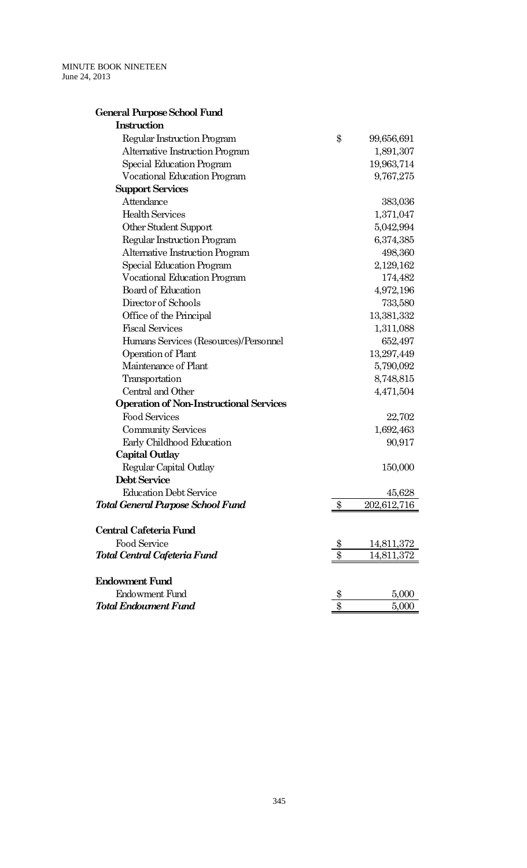| <b>General Purpose School Fund</b>             |                  |
|------------------------------------------------|------------------|
| Instruction                                    |                  |
| Regular Instruction Program                    | \$<br>99,656,691 |
| Alternative Instruction Program                | 1,891,307        |
| Special Education Program                      | 19,963,714       |
| <b>Vocational Education Program</b>            | 9,767,275        |
| <b>Support Services</b>                        |                  |
| Attendance                                     | 383,036          |
| <b>Health Services</b>                         | 1,371,047        |
| Other Student Support                          | 5,042,994        |
| Regular Instruction Program                    | 6,374,385        |
| Alternative Instruction Program                | 498,360          |
| Special Education Program                      | 2,129,162        |
| <b>Vocational Education Program</b>            | 174,482          |
| <b>Board of Education</b>                      | 4,972,196        |
| Director of Schools                            | 733,580          |
| Office of the Principal                        | 13,381,332       |
| <b>Fiscal Services</b>                         | 1,311,088        |
| Humans Services (Resources)/Personnel          | 652,497          |
| Operation of Plant                             | 13,297,449       |
| Maintenance of Plant                           | 5,790,092        |
| Transportation                                 | 8,748,815        |
| Central and Other                              | 4,471,504        |
| <b>Operation of Non-Instructional Services</b> |                  |
| <b>Food Services</b>                           | 22,702           |
| <b>Community Services</b>                      | 1,692,463        |
| Early Childhood Education                      | 90,917           |
| <b>Capital Outlay</b>                          |                  |
| Regular Capital Outlay                         | 150,000          |
| Debt Service                                   |                  |
| <b>Education Debt Service</b>                  | 45,628           |
| <b>Total General Purpose School Fund</b>       | 202,612,716      |
|                                                |                  |
| Central Cafeteria Fund                         |                  |
| <b>Food Service</b>                            | \$<br>14,811,372 |
| <b>Total Central Cafeteria Fund</b>            | \$<br>14,811,372 |
| <b>Endowment Fund</b>                          |                  |
| <b>Endowment Fund</b>                          | \$<br>5,000      |
| <b>Total Endowment Fund</b>                    | \$<br>5,000      |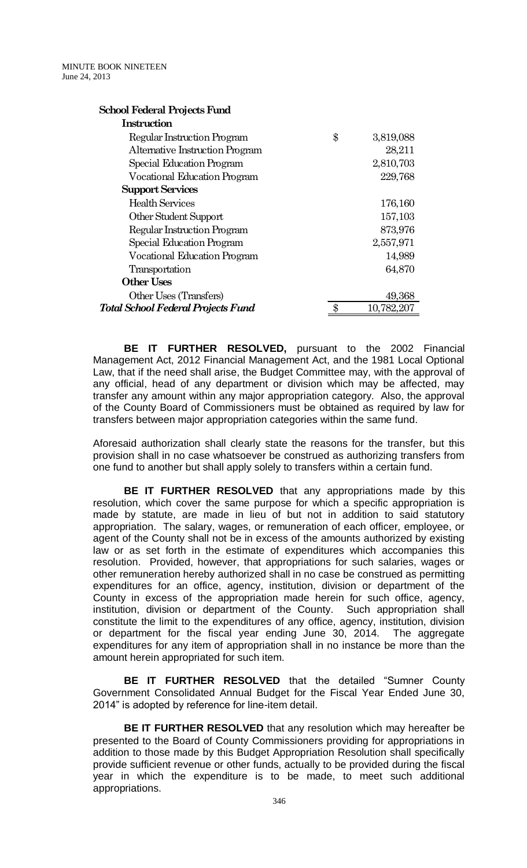| School Federal Projects Fund              |                 |
|-------------------------------------------|-----------------|
| Instruction                               |                 |
| Regular Instruction Program               | \$<br>3,819,088 |
| Alternative Instruction Program           | 28,211          |
| Special Education Program                 | 2,810,703       |
| Vocational Education Program              | 229,768         |
| <b>Support Services</b>                   |                 |
| <b>Health Services</b>                    | 176,160         |
| Other Student Support                     | 157,103         |
| Regular Instruction Program               | 873,976         |
| Special Education Program                 | 2,557,971       |
| <b>Vocational Education Program</b>       | 14,989          |
| Transportation                            | 64,870          |
| <b>Other Uses</b>                         |                 |
| Other Uses (Transfers)                    | 49,368          |
| <b>Total School Federal Projects Fund</b> | 10,782,207      |

**BE IT FURTHER RESOLVED,** pursuant to the 2002 Financial Management Act, 2012 Financial Management Act, and the 1981 Local Optional Law, that if the need shall arise, the Budget Committee may, with the approval of any official, head of any department or division which may be affected, may transfer any amount within any major appropriation category. Also, the approval of the County Board of Commissioners must be obtained as required by law for transfers between major appropriation categories within the same fund.

Aforesaid authorization shall clearly state the reasons for the transfer, but this provision shall in no case whatsoever be construed as authorizing transfers from one fund to another but shall apply solely to transfers within a certain fund.

**BE IT FURTHER RESOLVED** that any appropriations made by this resolution, which cover the same purpose for which a specific appropriation is made by statute, are made in lieu of but not in addition to said statutory appropriation. The salary, wages, or remuneration of each officer, employee, or agent of the County shall not be in excess of the amounts authorized by existing law or as set forth in the estimate of expenditures which accompanies this resolution. Provided, however, that appropriations for such salaries, wages or other remuneration hereby authorized shall in no case be construed as permitting expenditures for an office, agency, institution, division or department of the County in excess of the appropriation made herein for such office, agency, institution, division or department of the County. Such appropriation shall constitute the limit to the expenditures of any office, agency, institution, division or department for the fiscal year ending June 30, 2014. The aggregate expenditures for any item of appropriation shall in no instance be more than the amount herein appropriated for such item.

**BE IT FURTHER RESOLVED** that the detailed "Sumner County Government Consolidated Annual Budget for the Fiscal Year Ended June 30, 2014" is adopted by reference for line-item detail.

**BE IT FURTHER RESOLVED** that any resolution which may hereafter be presented to the Board of County Commissioners providing for appropriations in addition to those made by this Budget Appropriation Resolution shall specifically provide sufficient revenue or other funds, actually to be provided during the fiscal year in which the expenditure is to be made, to meet such additional appropriations.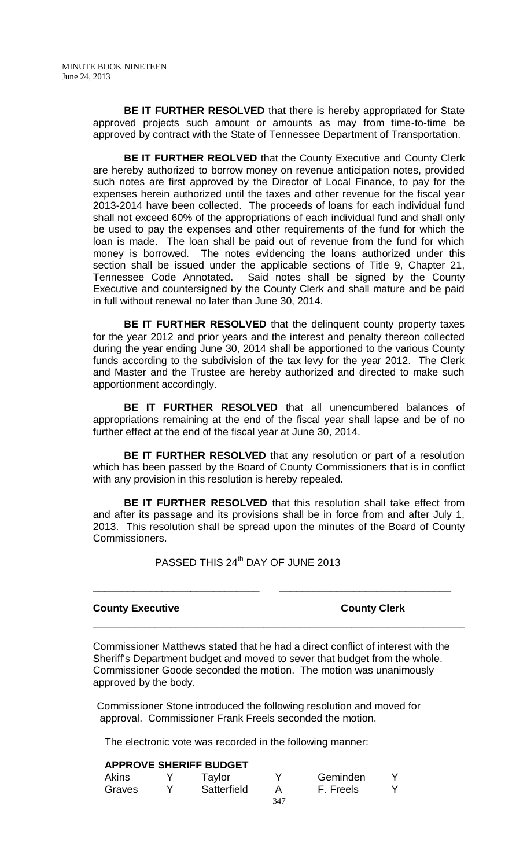**BE IT FURTHER RESOLVED** that there is hereby appropriated for State approved projects such amount or amounts as may from time-to-time be approved by contract with the State of Tennessee Department of Transportation.

**BE IT FURTHER REOLVED** that the County Executive and County Clerk are hereby authorized to borrow money on revenue anticipation notes, provided such notes are first approved by the Director of Local Finance, to pay for the expenses herein authorized until the taxes and other revenue for the fiscal year 2013-2014 have been collected. The proceeds of loans for each individual fund shall not exceed 60% of the appropriations of each individual fund and shall only be used to pay the expenses and other requirements of the fund for which the loan is made. The loan shall be paid out of revenue from the fund for which money is borrowed. The notes evidencing the loans authorized under this section shall be issued under the applicable sections of Title 9, Chapter 21, Tennessee Code Annotated. Said notes shall be signed by the County Executive and countersigned by the County Clerk and shall mature and be paid in full without renewal no later than June 30, 2014.

**BE IT FURTHER RESOLVED** that the delinquent county property taxes for the year 2012 and prior years and the interest and penalty thereon collected during the year ending June 30, 2014 shall be apportioned to the various County funds according to the subdivision of the tax levy for the year 2012. The Clerk and Master and the Trustee are hereby authorized and directed to make such apportionment accordingly.

**BE IT FURTHER RESOLVED** that all unencumbered balances of appropriations remaining at the end of the fiscal year shall lapse and be of no further effect at the end of the fiscal year at June 30, 2014.

**BE IT FURTHER RESOLVED** that any resolution or part of a resolution which has been passed by the Board of County Commissioners that is in conflict with any provision in this resolution is hereby repealed.

**BE IT FURTHER RESOLVED** that this resolution shall take effect from and after its passage and its provisions shall be in force from and after July 1, 2013. This resolution shall be spread upon the minutes of the Board of County Commissioners.

PASSED THIS 24<sup>th</sup> DAY OF JUNE 2013

## **County Executive County Clerk**

Commissioner Matthews stated that he had a direct conflict of interest with the Sheriff's Department budget and moved to sever that budget from the whole. Commissioner Goode seconded the motion. The motion was unanimously approved by the body.

\_\_\_\_\_\_\_\_\_\_\_\_\_\_\_\_\_\_\_\_\_\_\_\_\_\_\_\_\_\_\_\_\_\_\_\_\_\_\_\_\_\_\_\_\_\_\_\_\_\_\_\_\_\_\_\_\_\_\_\_\_\_\_\_\_\_\_\_\_\_\_\_

\_\_\_\_\_\_\_\_\_\_\_\_\_\_\_\_\_\_\_\_\_\_\_\_\_\_\_\_\_ \_\_\_\_\_\_\_\_\_\_\_\_\_\_\_\_\_\_\_\_\_\_\_\_\_\_\_\_\_\_

Commissioner Stone introduced the following resolution and moved for approval. Commissioner Frank Freels seconded the motion.

The electronic vote was recorded in the following manner:

## **APPROVE SHERIFF BUDGET**

| Akins  | Taylor      |     | Geminden  |  |
|--------|-------------|-----|-----------|--|
| Graves | Satterfield |     | F. Freels |  |
|        |             | 347 |           |  |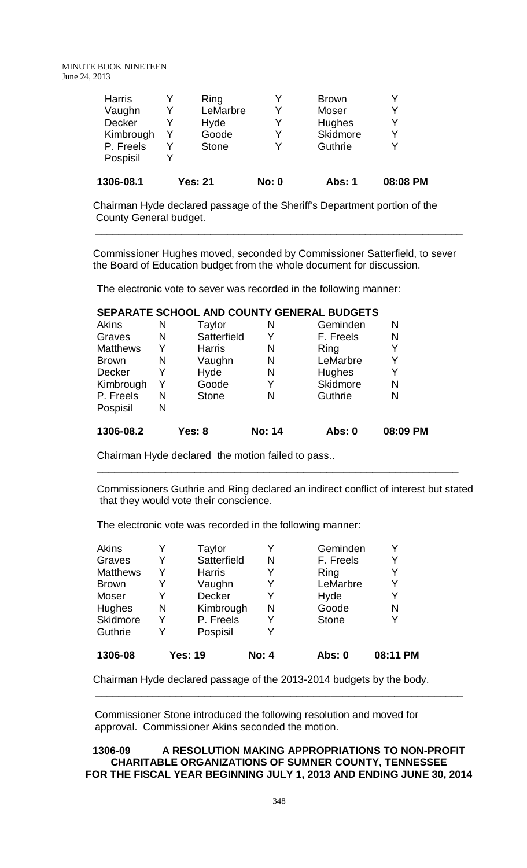| <b>Harris</b><br>Vaughn | Y | Ring<br>LeMarbre | V            | <b>Brown</b><br><b>Moser</b> | Y        |
|-------------------------|---|------------------|--------------|------------------------------|----------|
| <b>Decker</b>           |   | Hyde             | v            | Hughes                       | Y        |
| Kimbrough               | Y | Goode            | v            | Skidmore                     | v        |
| P. Freels               |   | <b>Stone</b>     | v            | Guthrie                      |          |
| Pospisil                |   |                  |              |                              |          |
| 1306-08.1               |   | <b>Yes: 21</b>   | <b>No: 0</b> | <b>Abs: 1</b>                | 08:08 PM |

Chairman Hyde declared passage of the Sheriff's Department portion of the County General budget.

\_\_\_\_\_\_\_\_\_\_\_\_\_\_\_\_\_\_\_\_\_\_\_\_\_\_\_\_\_\_\_\_\_\_\_\_\_\_\_\_\_\_\_\_\_\_\_\_\_\_\_\_\_\_\_\_\_\_\_\_\_\_\_\_

Commissioner Hughes moved, seconded by Commissioner Satterfield, to sever the Board of Education budget from the whole document for discussion.

The electronic vote to sever was recorded in the following manner:

#### **SEPARATE SCHOOL AND COUNTY GENERAL BUDGETS**

| Akins           | N | Taylor        | N             | Geminden        | N        |
|-----------------|---|---------------|---------------|-----------------|----------|
| Graves          | N | Satterfield   | Y             | F. Freels       | N        |
| <b>Matthews</b> | Y | <b>Harris</b> | N             | Ring            | Y        |
| <b>Brown</b>    | N | Vaughn        | N             | LeMarbre        | Y        |
| Decker          |   | Hyde          | N             | Hughes          | Y        |
| Kimbrough       | Y | Goode         | Y             | <b>Skidmore</b> | N        |
| P. Freels       | N | <b>Stone</b>  | N             | Guthrie         | N        |
| Pospisil        | N |               |               |                 |          |
| 1306-08.2       |   | Yes: 8        | <b>No: 14</b> | Abs: 0          | 08:09 PM |

Chairman Hyde declared the motion failed to pass..

Commissioners Guthrie and Ring declared an indirect conflict of interest but stated that they would vote their conscience.

\_\_\_\_\_\_\_\_\_\_\_\_\_\_\_\_\_\_\_\_\_\_\_\_\_\_\_\_\_\_\_\_\_\_\_\_\_\_\_\_\_\_\_\_\_\_\_\_\_\_\_\_\_\_\_\_\_\_\_\_\_\_\_

The electronic vote was recorded in the following manner:

| 1306-08         |   | <b>Yes: 19</b> | <b>No: 4</b> | Abs: 0       | 08:11 PM |
|-----------------|---|----------------|--------------|--------------|----------|
| Guthrie         |   | Pospisil       |              |              |          |
| Skidmore        | Y | P. Freels      | Y            | <b>Stone</b> |          |
| Hughes          | N | Kimbrough      | N            | Goode        | N        |
| Moser           |   | <b>Decker</b>  | Y            | Hyde         | Y        |
| <b>Brown</b>    |   | Vaughn         | Y            | LeMarbre     | Y        |
| <b>Matthews</b> |   | <b>Harris</b>  | Y            | Ring         |          |
| Graves          |   | Satterfield    | N            | F. Freels    |          |
| <b>Akins</b>    |   | Taylor         |              | Geminden     |          |

Chairman Hyde declared passage of the 2013-2014 budgets by the body. \_\_\_\_\_\_\_\_\_\_\_\_\_\_\_\_\_\_\_\_\_\_\_\_\_\_\_\_\_\_\_\_\_\_\_\_\_\_\_\_\_\_\_\_\_\_\_\_\_\_\_\_\_\_\_\_\_\_\_\_\_\_\_\_

 Commissioner Stone introduced the following resolution and moved for approval. Commissioner Akins seconded the motion.

**1306-09 A RESOLUTION MAKING APPROPRIATIONS TO NON-PROFIT CHARITABLE ORGANIZATIONS OF SUMNER COUNTY, TENNESSEE FOR THE FISCAL YEAR BEGINNING JULY 1, 2013 AND ENDING JUNE 30, 2014**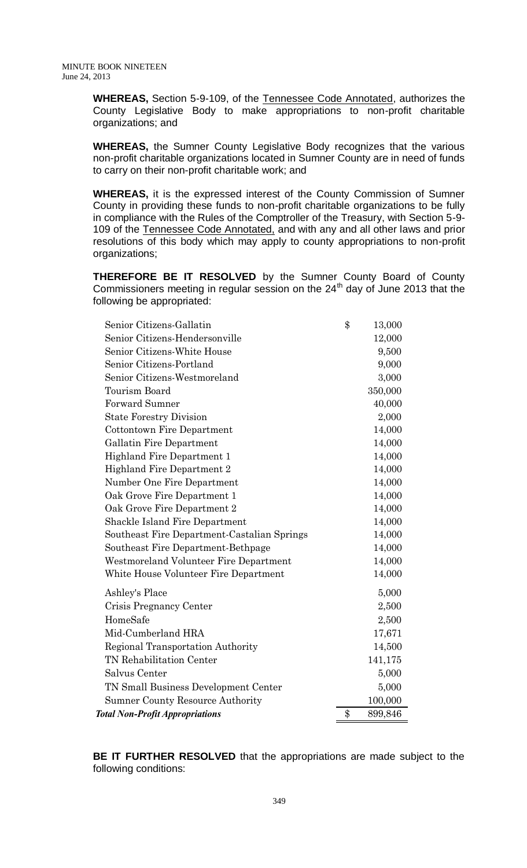**WHEREAS,** Section 5-9-109, of the Tennessee Code Annotated, authorizes the County Legislative Body to make appropriations to non-profit charitable organizations; and

**WHEREAS,** the Sumner County Legislative Body recognizes that the various non-profit charitable organizations located in Sumner County are in need of funds to carry on their non-profit charitable work; and

**WHEREAS,** it is the expressed interest of the County Commission of Sumner County in providing these funds to non-profit charitable organizations to be fully in compliance with the Rules of the Comptroller of the Treasury, with Section 5-9- 109 of the Tennessee Code Annotated, and with any and all other laws and prior resolutions of this body which may apply to county appropriations to non-profit organizations;

**THEREFORE BE IT RESOLVED** by the Sumner County Board of County Commissioners meeting in regular session on the  $24<sup>th</sup>$  day of June 2013 that the following be appropriated:

| Senior Citizens-Gallatin                    | \$<br>13,000  |
|---------------------------------------------|---------------|
| Senior Citizens-Hendersonville              | 12,000        |
| Senior Citizens-White House                 | 9,500         |
| Senior Citizens-Portland                    | 9,000         |
| Senior Citizens-Westmoreland                | 3,000         |
| Tourism Board                               | 350,000       |
| <b>Forward Sumner</b>                       | 40,000        |
| <b>State Forestry Division</b>              | 2,000         |
| Cottontown Fire Department                  | 14,000        |
| Gallatin Fire Department                    | 14,000        |
| Highland Fire Department 1                  | 14,000        |
| Highland Fire Department 2                  | 14,000        |
| Number One Fire Department                  | 14,000        |
| Oak Grove Fire Department 1                 | 14,000        |
| Oak Grove Fire Department 2                 | 14,000        |
| Shackle Island Fire Department              | 14,000        |
| Southeast Fire Department-Castalian Springs | 14,000        |
| Southeast Fire Department-Bethpage          | 14,000        |
| Westmoreland Volunteer Fire Department      | 14,000        |
| White House Volunteer Fire Department       | 14,000        |
| Ashley's Place                              | 5,000         |
| Crisis Pregnancy Center                     | 2,500         |
| HomeSafe                                    | 2,500         |
| Mid-Cumberland HRA                          | 17,671        |
| Regional Transportation Authority           | 14,500        |
| TN Rehabilitation Center                    | 141,175       |
| Salvus Center                               | 5,000         |
| TN Small Business Development Center        | 5,000         |
| Sumner County Resource Authority            | 100,000       |
| <b>Total Non-Profit Appropriations</b>      | \$<br>899,846 |

**BE IT FURTHER RESOLVED** that the appropriations are made subject to the following conditions: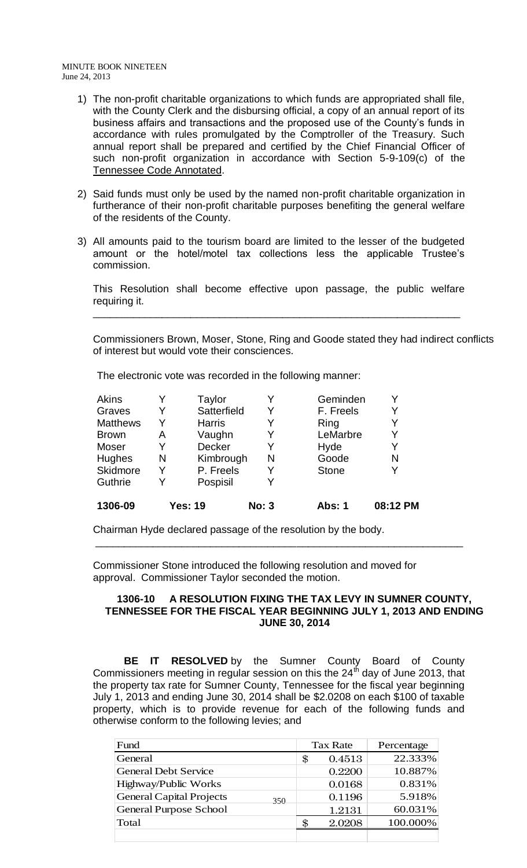- 1) The non-profit charitable organizations to which funds are appropriated shall file, with the County Clerk and the disbursing official, a copy of an annual report of its business affairs and transactions and the proposed use of the County's funds in accordance with rules promulgated by the Comptroller of the Treasury. Such annual report shall be prepared and certified by the Chief Financial Officer of such non-profit organization in accordance with Section 5-9-109(c) of the Tennessee Code Annotated.
- 2) Said funds must only be used by the named non-profit charitable organization in furtherance of their non-profit charitable purposes benefiting the general welfare of the residents of the County.
- 3) All amounts paid to the tourism board are limited to the lesser of the budgeted amount or the hotel/motel tax collections less the applicable Trustee's commission.

This Resolution shall become effective upon passage, the public welfare requiring it.

\_\_\_\_\_\_\_\_\_\_\_\_\_\_\_\_\_\_\_\_\_\_\_\_\_\_\_\_\_\_\_\_\_\_\_\_\_\_\_\_\_\_\_\_\_\_\_\_\_\_\_\_\_\_\_\_\_\_\_\_\_\_\_\_

Commissioners Brown, Moser, Stone, Ring and Goode stated they had indirect conflicts of interest but would vote their consciences.

The electronic vote was recorded in the following manner:

| 1306-09         |   | <b>Yes: 19</b> | <b>No: 3</b> | <b>Abs: 1</b> | 08:12 PM |
|-----------------|---|----------------|--------------|---------------|----------|
| Guthrie         | Y | Pospisil       | Y            |               |          |
| <b>Skidmore</b> | Y | P. Freels      | Y            | <b>Stone</b>  |          |
| <b>Hughes</b>   | N | Kimbrough      | N            | Goode         | N        |
| Moser           | Y | <b>Decker</b>  | Y            | Hyde          | Y        |
| <b>Brown</b>    | Α | Vaughn         | Y            | LeMarbre      | Y        |
| <b>Matthews</b> | v | <b>Harris</b>  | Y            | Ring          |          |
| Graves          | Y | Satterfield    | Y            | F. Freels     | Y        |
| <b>Akins</b>    |   | Taylor         |              | Geminden      |          |

Chairman Hyde declared passage of the resolution by the body.

Commissioner Stone introduced the following resolution and moved for approval. Commissioner Taylor seconded the motion.

\_\_\_\_\_\_\_\_\_\_\_\_\_\_\_\_\_\_\_\_\_\_\_\_\_\_\_\_\_\_\_\_\_\_\_\_\_\_\_\_\_\_\_\_\_\_\_\_\_\_\_\_\_\_\_\_\_\_\_\_\_\_\_\_

## **1306-10 A RESOLUTION FIXING THE TAX LEVY IN SUMNER COUNTY, TENNESSEE FOR THE FISCAL YEAR BEGINNING JULY 1, 2013 AND ENDING JUNE 30, 2014**

**BE IT RESOLVED** by the Sumner County Board of County Commissioners meeting in regular session on this the  $24<sup>th</sup>$  day of June 2013, that the property tax rate for Sumner County, Tennessee for the fiscal year beginning July 1, 2013 and ending June 30, 2014 shall be \$2.0208 on each \$100 of taxable property, which is to provide revenue for each of the following funds and otherwise conform to the following levies; and

| Fund                                   | <b>Tax Rate</b> | Percentage |
|----------------------------------------|-----------------|------------|
| General                                | 0.4513<br>\$    | 22.333%    |
| <b>General Debt Service</b>            | 0.2200          | 10.887%    |
| Highway/Public Works                   | 0.0168          | 0.831%     |
| <b>General Capital Projects</b><br>350 | 0.1196          | 5.918%     |
| <b>General Purpose School</b>          | 1.2131          | 60.031%    |
| Total                                  | 2.0208<br>ዳ     | 100.000%   |
|                                        |                 |            |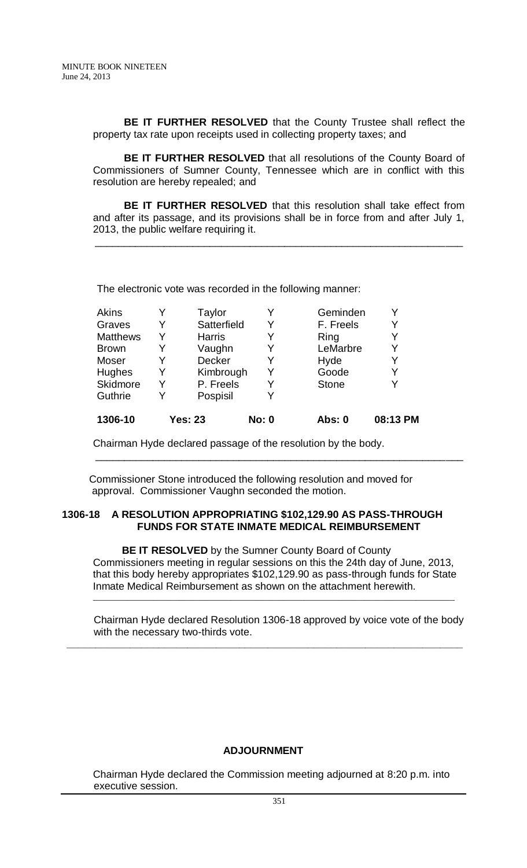**BE IT FURTHER RESOLVED** that the County Trustee shall reflect the property tax rate upon receipts used in collecting property taxes; and

**BE IT FURTHER RESOLVED** that all resolutions of the County Board of Commissioners of Sumner County, Tennessee which are in conflict with this resolution are hereby repealed; and

**BE IT FURTHER RESOLVED** that this resolution shall take effect from and after its passage, and its provisions shall be in force from and after July 1, 2013, the public welfare requiring it.

\_\_\_\_\_\_\_\_\_\_\_\_\_\_\_\_\_\_\_\_\_\_\_\_\_\_\_\_\_\_\_\_\_\_\_\_\_\_\_\_\_\_\_\_\_\_\_\_\_\_\_\_\_\_\_\_\_\_\_\_\_\_\_\_

The electronic vote was recorded in the following manner:

|   |             | Y                                                                       |                             | Y<br>Y                            |
|---|-------------|-------------------------------------------------------------------------|-----------------------------|-----------------------------------|
| Y | P. Freels   | Y                                                                       | <b>Stone</b>                |                                   |
| Y | Pospisil    | Y                                                                       |                             |                                   |
|   |             |                                                                         | Abs: 0                      | 08:13 PM                          |
|   | Y<br>Y<br>Y | <b>Harris</b><br>Vaughn<br><b>Decker</b><br>Kimbrough<br><b>Yes: 23</b> | Y<br>Y<br>Y<br><b>No: 0</b> | Ring<br>LeMarbre<br>Hyde<br>Goode |

Chairman Hyde declared passage of the resolution by the body.

Commissioner Stone introduced the following resolution and moved for approval. Commissioner Vaughn seconded the motion.

\_\_\_\_\_\_\_\_\_\_\_\_\_\_\_\_\_\_\_\_\_\_\_\_\_\_\_\_\_\_\_\_\_\_\_\_\_\_\_\_\_\_\_\_\_\_\_\_\_\_\_\_\_\_\_\_\_\_\_\_\_\_\_\_

## **1306-18 A RESOLUTION APPROPRIATING \$102,129.90 AS PASS-THROUGH FUNDS FOR STATE INMATE MEDICAL REIMBURSEMENT**

 **BE IT RESOLVED** by the Sumner County Board of County Commissioners meeting in regular sessions on this the 24th day of June, 2013, that this body hereby appropriates \$102,129.90 as pass-through funds for State Inmate Medical Reimbursement as shown on the attachment herewith.

\_\_\_\_\_\_\_\_\_\_\_\_\_\_\_\_\_\_\_\_\_\_\_\_\_\_\_\_\_\_\_\_\_\_\_\_\_\_\_\_\_\_\_\_\_\_\_\_\_\_\_\_\_\_\_\_\_\_\_\_\_\_\_\_\_\_\_\_\_\_\_\_\_\_\_\_\_\_\_\_\_\_\_\_

 **\_\_\_\_\_\_\_\_\_\_\_\_\_\_\_\_\_\_\_\_\_\_\_\_\_\_\_\_\_\_\_\_\_\_\_\_\_\_\_\_\_\_\_\_\_\_\_\_\_\_\_\_\_\_\_\_\_\_\_\_\_\_\_\_\_\_\_\_\_**

 Chairman Hyde declared Resolution 1306-18 approved by voice vote of the body with the necessary two-thirds vote.

# **ADJOURNMENT**

Chairman Hyde declared the Commission meeting adjourned at 8:20 p.m. into executive session.